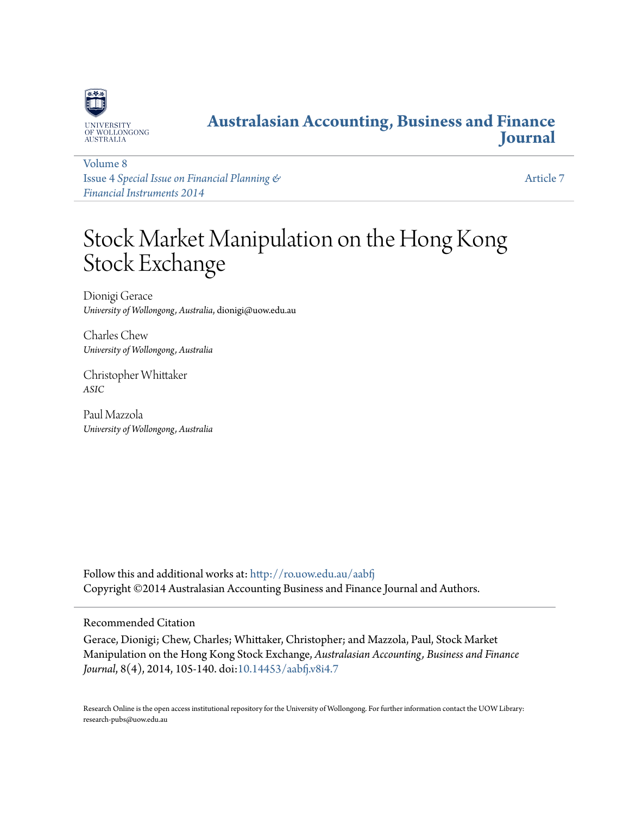

# **[Australasian Accounting, Business and Finance](http://ro.uow.edu.au/aabfj?utm_source=ro.uow.edu.au%2Faabfj%2Fvol8%2Fiss4%2F7&utm_medium=PDF&utm_campaign=PDFCoverPages) [Journal](http://ro.uow.edu.au/aabfj?utm_source=ro.uow.edu.au%2Faabfj%2Fvol8%2Fiss4%2F7&utm_medium=PDF&utm_campaign=PDFCoverPages)**

[Volume 8](http://ro.uow.edu.au/aabfj/vol8?utm_source=ro.uow.edu.au%2Faabfj%2Fvol8%2Fiss4%2F7&utm_medium=PDF&utm_campaign=PDFCoverPages) Issue 4 *[Special Issue on Financial Planning &](http://ro.uow.edu.au/aabfj/vol8/iss4?utm_source=ro.uow.edu.au%2Faabfj%2Fvol8%2Fiss4%2F7&utm_medium=PDF&utm_campaign=PDFCoverPages) [Financial Instruments 2014](http://ro.uow.edu.au/aabfj/vol8/iss4?utm_source=ro.uow.edu.au%2Faabfj%2Fvol8%2Fiss4%2F7&utm_medium=PDF&utm_campaign=PDFCoverPages)*

[Article 7](http://ro.uow.edu.au/aabfj/vol8/iss4/7?utm_source=ro.uow.edu.au%2Faabfj%2Fvol8%2Fiss4%2F7&utm_medium=PDF&utm_campaign=PDFCoverPages)

# Stock Market Manipulation on the Hong Kong Stock Exchange

Dionigi Gerace *University of Wollongong, Australia*, dionigi@uow.edu.au

Charles Chew *University of Wollongong, Australia*

Christopher Whittaker *ASIC*

Paul Mazzola *University of Wollongong, Australia*

Follow this and additional works at: [http://ro.uow.edu.au/aabfj](http://ro.uow.edu.au/aabfj?utm_source=ro.uow.edu.au%2Faabfj%2Fvol8%2Fiss4%2F7&utm_medium=PDF&utm_campaign=PDFCoverPages) Copyright ©2014 Australasian Accounting Business and Finance Journal and Authors.

# Recommended Citation

Gerace, Dionigi; Chew, Charles; Whittaker, Christopher; and Mazzola, Paul, Stock Market Manipulation on the Hong Kong Stock Exchange, *Australasian Accounting, Business and Finance Journal*, 8(4), 2014, 105-140. doi[:10.14453/aabfj.v8i4.7](http://dx.doi.org/10.14453/aabfj.v8i4.7)

Research Online is the open access institutional repository for the University of Wollongong. For further information contact the UOW Library: research-pubs@uow.edu.au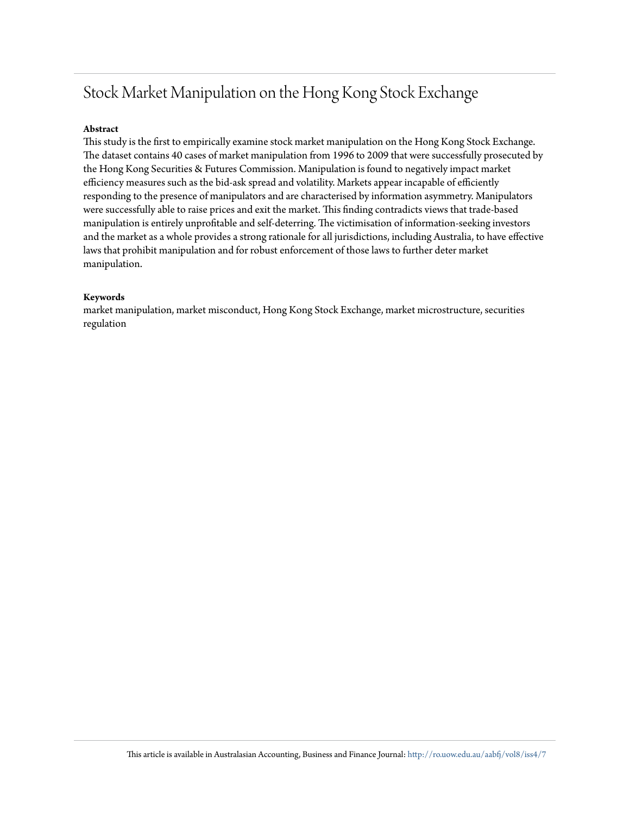# Stock Market Manipulation on the Hong Kong Stock Exchange

# **Abstract**

This study is the first to empirically examine stock market manipulation on the Hong Kong Stock Exchange. The dataset contains 40 cases of market manipulation from 1996 to 2009 that were successfully prosecuted by the Hong Kong Securities & Futures Commission. Manipulation is found to negatively impact market efficiency measures such as the bid-ask spread and volatility. Markets appear incapable of efficiently responding to the presence of manipulators and are characterised by information asymmetry. Manipulators were successfully able to raise prices and exit the market. This finding contradicts views that trade-based manipulation is entirely unprofitable and self-deterring. The victimisation of information-seeking investors and the market as a whole provides a strong rationale for all jurisdictions, including Australia, to have effective laws that prohibit manipulation and for robust enforcement of those laws to further deter market manipulation.

# **Keywords**

market manipulation, market misconduct, Hong Kong Stock Exchange, market microstructure, securities regulation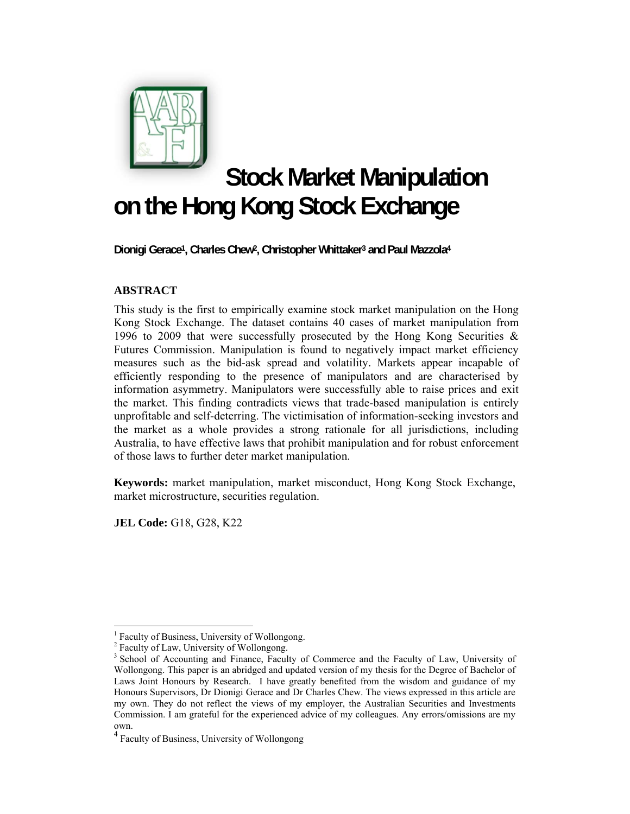

# **Stock Market Manipulation on the Hong Kong Stock Exchange**

**Dionigi Gerace1, Charles Chew2, Christopher Whittaker3 and Paul Mazzola4**

# **ABSTRACT**

This study is the first to empirically examine stock market manipulation on the Hong Kong Stock Exchange. The dataset contains 40 cases of market manipulation from 1996 to 2009 that were successfully prosecuted by the Hong Kong Securities & Futures Commission. Manipulation is found to negatively impact market efficiency measures such as the bid-ask spread and volatility. Markets appear incapable of efficiently responding to the presence of manipulators and are characterised by information asymmetry. Manipulators were successfully able to raise prices and exit the market. This finding contradicts views that trade-based manipulation is entirely unprofitable and self-deterring. The victimisation of information-seeking investors and the market as a whole provides a strong rationale for all jurisdictions, including Australia, to have effective laws that prohibit manipulation and for robust enforcement of those laws to further deter market manipulation.

**Keywords:** market manipulation, market misconduct, Hong Kong Stock Exchange, market microstructure, securities regulation.

**JEL Code:** G18, G28, K22

 $\overline{a}$ <sup>1</sup> Faculty of Business, University of Wollongong.

<sup>&</sup>lt;sup>2</sup> Faculty of Law, University of Wollongong.

<sup>&</sup>lt;sup>3</sup> School of Accounting and Finance, Faculty of Commerce and the Faculty of Law, University of Wollongong. This paper is an abridged and updated version of my thesis for the Degree of Bachelor of Laws Joint Honours by Research. I have greatly benefited from the wisdom and guidance of my Honours Supervisors, Dr Dionigi Gerace and Dr Charles Chew. The views expressed in this article are my own. They do not reflect the views of my employer, the Australian Securities and Investments Commission. I am grateful for the experienced advice of my colleagues. Any errors/omissions are my own.

<sup>4</sup> Faculty of Business, University of Wollongong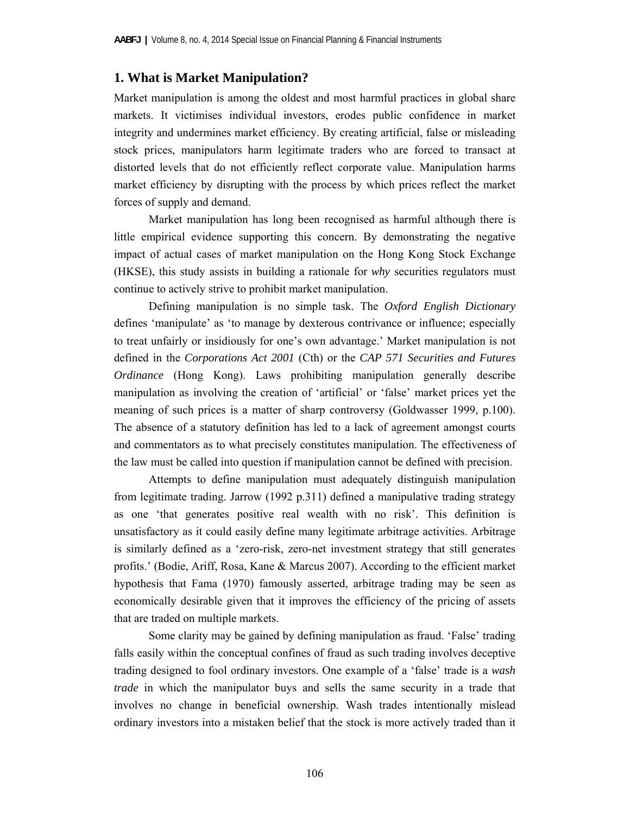# **1. What is Market Manipulation?**

Market manipulation is among the oldest and most harmful practices in global share markets. It victimises individual investors, erodes public confidence in market integrity and undermines market efficiency. By creating artificial, false or misleading stock prices, manipulators harm legitimate traders who are forced to transact at distorted levels that do not efficiently reflect corporate value. Manipulation harms market efficiency by disrupting with the process by which prices reflect the market forces of supply and demand.

 Market manipulation has long been recognised as harmful although there is little empirical evidence supporting this concern. By demonstrating the negative impact of actual cases of market manipulation on the Hong Kong Stock Exchange (HKSE), this study assists in building a rationale for *why* securities regulators must continue to actively strive to prohibit market manipulation.

 Defining manipulation is no simple task. The *Oxford English Dictionary* defines 'manipulate' as 'to manage by dexterous contrivance or influence; especially to treat unfairly or insidiously for one's own advantage.' Market manipulation is not defined in the *Corporations Act 2001* (Cth) or the *CAP 571 Securities and Futures Ordinance* (Hong Kong). Laws prohibiting manipulation generally describe manipulation as involving the creation of 'artificial' or 'false' market prices yet the meaning of such prices is a matter of sharp controversy (Goldwasser 1999, p.100). The absence of a statutory definition has led to a lack of agreement amongst courts and commentators as to what precisely constitutes manipulation. The effectiveness of the law must be called into question if manipulation cannot be defined with precision.

 Attempts to define manipulation must adequately distinguish manipulation from legitimate trading. Jarrow (1992 p.311) defined a manipulative trading strategy as one 'that generates positive real wealth with no risk'. This definition is unsatisfactory as it could easily define many legitimate arbitrage activities. Arbitrage is similarly defined as a 'zero-risk, zero-net investment strategy that still generates profits.' (Bodie, Ariff, Rosa, Kane & Marcus 2007). According to the efficient market hypothesis that Fama (1970) famously asserted, arbitrage trading may be seen as economically desirable given that it improves the efficiency of the pricing of assets that are traded on multiple markets.

 Some clarity may be gained by defining manipulation as fraud. 'False' trading falls easily within the conceptual confines of fraud as such trading involves deceptive trading designed to fool ordinary investors. One example of a 'false' trade is a *wash trade* in which the manipulator buys and sells the same security in a trade that involves no change in beneficial ownership. Wash trades intentionally mislead ordinary investors into a mistaken belief that the stock is more actively traded than it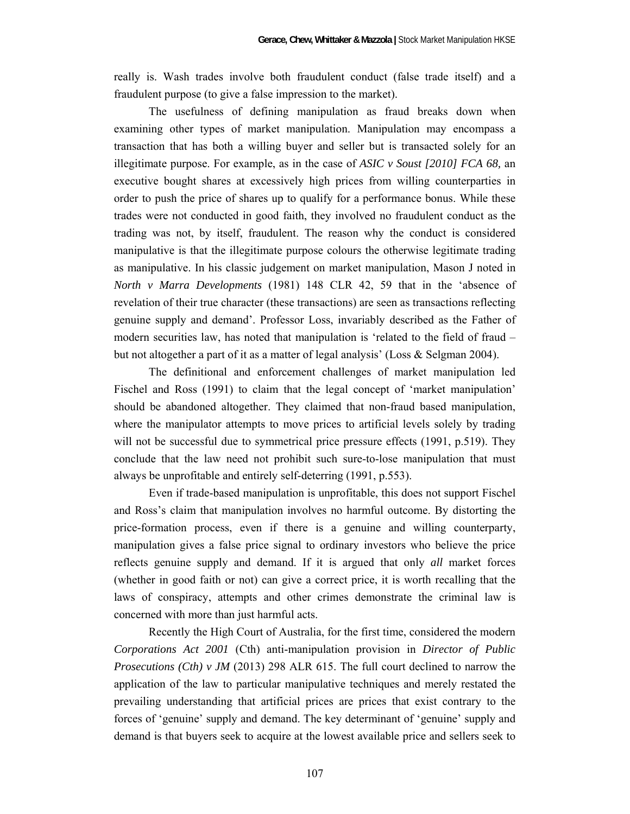really is. Wash trades involve both fraudulent conduct (false trade itself) and a fraudulent purpose (to give a false impression to the market).

 The usefulness of defining manipulation as fraud breaks down when examining other types of market manipulation. Manipulation may encompass a transaction that has both a willing buyer and seller but is transacted solely for an illegitimate purpose. For example, as in the case of *ASIC v Soust [2010] FCA 68,* an executive bought shares at excessively high prices from willing counterparties in order to push the price of shares up to qualify for a performance bonus. While these trades were not conducted in good faith, they involved no fraudulent conduct as the trading was not, by itself, fraudulent. The reason why the conduct is considered manipulative is that the illegitimate purpose colours the otherwise legitimate trading as manipulative. In his classic judgement on market manipulation, Mason J noted in *North v Marra Developments* (1981) 148 CLR 42, 59 that in the 'absence of revelation of their true character (these transactions) are seen as transactions reflecting genuine supply and demand'. Professor Loss, invariably described as the Father of modern securities law, has noted that manipulation is 'related to the field of fraud – but not altogether a part of it as a matter of legal analysis' (Loss & Selgman 2004).

 The definitional and enforcement challenges of market manipulation led Fischel and Ross (1991) to claim that the legal concept of 'market manipulation' should be abandoned altogether. They claimed that non-fraud based manipulation, where the manipulator attempts to move prices to artificial levels solely by trading will not be successful due to symmetrical price pressure effects (1991, p.519). They conclude that the law need not prohibit such sure-to-lose manipulation that must always be unprofitable and entirely self-deterring (1991, p.553).

 Even if trade-based manipulation is unprofitable, this does not support Fischel and Ross's claim that manipulation involves no harmful outcome. By distorting the price-formation process, even if there is a genuine and willing counterparty, manipulation gives a false price signal to ordinary investors who believe the price reflects genuine supply and demand. If it is argued that only *all* market forces (whether in good faith or not) can give a correct price, it is worth recalling that the laws of conspiracy, attempts and other crimes demonstrate the criminal law is concerned with more than just harmful acts.

 Recently the High Court of Australia, for the first time, considered the modern *Corporations Act 2001* (Cth) anti-manipulation provision in *Director of Public Prosecutions (Cth) v JM* (2013) 298 ALR 615. The full court declined to narrow the application of the law to particular manipulative techniques and merely restated the prevailing understanding that artificial prices are prices that exist contrary to the forces of 'genuine' supply and demand. The key determinant of 'genuine' supply and demand is that buyers seek to acquire at the lowest available price and sellers seek to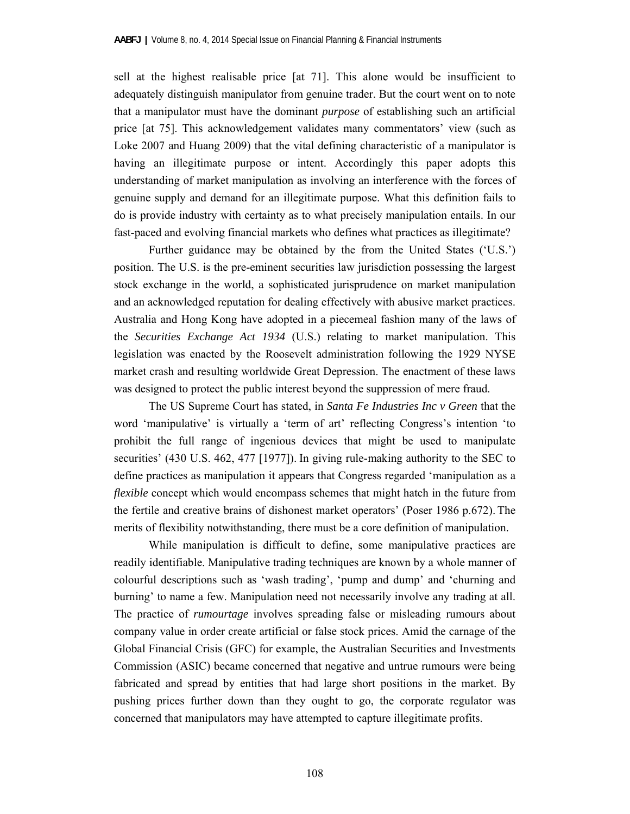sell at the highest realisable price [at 71]. This alone would be insufficient to adequately distinguish manipulator from genuine trader. But the court went on to note that a manipulator must have the dominant *purpose* of establishing such an artificial price [at 75]. This acknowledgement validates many commentators' view (such as Loke 2007 and Huang 2009) that the vital defining characteristic of a manipulator is having an illegitimate purpose or intent. Accordingly this paper adopts this understanding of market manipulation as involving an interference with the forces of genuine supply and demand for an illegitimate purpose. What this definition fails to do is provide industry with certainty as to what precisely manipulation entails. In our fast-paced and evolving financial markets who defines what practices as illegitimate?

 Further guidance may be obtained by the from the United States ('U.S.') position. The U.S. is the pre-eminent securities law jurisdiction possessing the largest stock exchange in the world, a sophisticated jurisprudence on market manipulation and an acknowledged reputation for dealing effectively with abusive market practices. Australia and Hong Kong have adopted in a piecemeal fashion many of the laws of the *Securities Exchange Act 1934* (U.S.) relating to market manipulation. This legislation was enacted by the Roosevelt administration following the 1929 NYSE market crash and resulting worldwide Great Depression. The enactment of these laws was designed to protect the public interest beyond the suppression of mere fraud.

 The US Supreme Court has stated, in *Santa Fe Industries Inc v Green* that the word 'manipulative' is virtually a 'term of art' reflecting Congress's intention 'to prohibit the full range of ingenious devices that might be used to manipulate securities' (430 U.S. 462, 477 [1977]). In giving rule-making authority to the SEC to define practices as manipulation it appears that Congress regarded 'manipulation as a *flexible* concept which would encompass schemes that might hatch in the future from the fertile and creative brains of dishonest market operators' (Poser 1986 p.672). The merits of flexibility notwithstanding, there must be a core definition of manipulation.

While manipulation is difficult to define, some manipulative practices are readily identifiable. Manipulative trading techniques are known by a whole manner of colourful descriptions such as 'wash trading', 'pump and dump' and 'churning and burning' to name a few. Manipulation need not necessarily involve any trading at all. The practice of *rumourtage* involves spreading false or misleading rumours about company value in order create artificial or false stock prices. Amid the carnage of the Global Financial Crisis (GFC) for example, the Australian Securities and Investments Commission (ASIC) became concerned that negative and untrue rumours were being fabricated and spread by entities that had large short positions in the market. By pushing prices further down than they ought to go, the corporate regulator was concerned that manipulators may have attempted to capture illegitimate profits.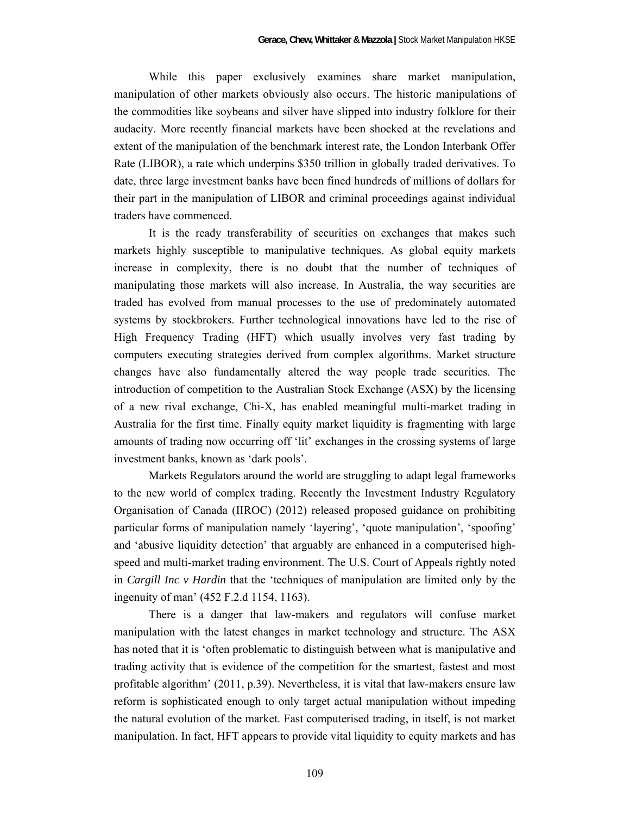While this paper exclusively examines share market manipulation, manipulation of other markets obviously also occurs. The historic manipulations of the commodities like soybeans and silver have slipped into industry folklore for their audacity. More recently financial markets have been shocked at the revelations and extent of the manipulation of the benchmark interest rate, the London Interbank Offer Rate (LIBOR), a rate which underpins \$350 trillion in globally traded derivatives. To date, three large investment banks have been fined hundreds of millions of dollars for their part in the manipulation of LIBOR and criminal proceedings against individual traders have commenced.

It is the ready transferability of securities on exchanges that makes such markets highly susceptible to manipulative techniques. As global equity markets increase in complexity, there is no doubt that the number of techniques of manipulating those markets will also increase. In Australia, the way securities are traded has evolved from manual processes to the use of predominately automated systems by stockbrokers. Further technological innovations have led to the rise of High Frequency Trading (HFT) which usually involves very fast trading by computers executing strategies derived from complex algorithms. Market structure changes have also fundamentally altered the way people trade securities. The introduction of competition to the Australian Stock Exchange (ASX) by the licensing of a new rival exchange, Chi-X, has enabled meaningful multi-market trading in Australia for the first time. Finally equity market liquidity is fragmenting with large amounts of trading now occurring off 'lit' exchanges in the crossing systems of large investment banks, known as 'dark pools'.

Markets Regulators around the world are struggling to adapt legal frameworks to the new world of complex trading. Recently the Investment Industry Regulatory Organisation of Canada (IIROC) (2012) released proposed guidance on prohibiting particular forms of manipulation namely 'layering', 'quote manipulation', 'spoofing' and 'abusive liquidity detection' that arguably are enhanced in a computerised highspeed and multi-market trading environment. The U.S. Court of Appeals rightly noted in *Cargill Inc v Hardin* that the 'techniques of manipulation are limited only by the ingenuity of man' (452 F.2.d 1154, 1163).

There is a danger that law-makers and regulators will confuse market manipulation with the latest changes in market technology and structure. The ASX has noted that it is 'often problematic to distinguish between what is manipulative and trading activity that is evidence of the competition for the smartest, fastest and most profitable algorithm' (2011, p.39). Nevertheless, it is vital that law-makers ensure law reform is sophisticated enough to only target actual manipulation without impeding the natural evolution of the market. Fast computerised trading, in itself, is not market manipulation. In fact, HFT appears to provide vital liquidity to equity markets and has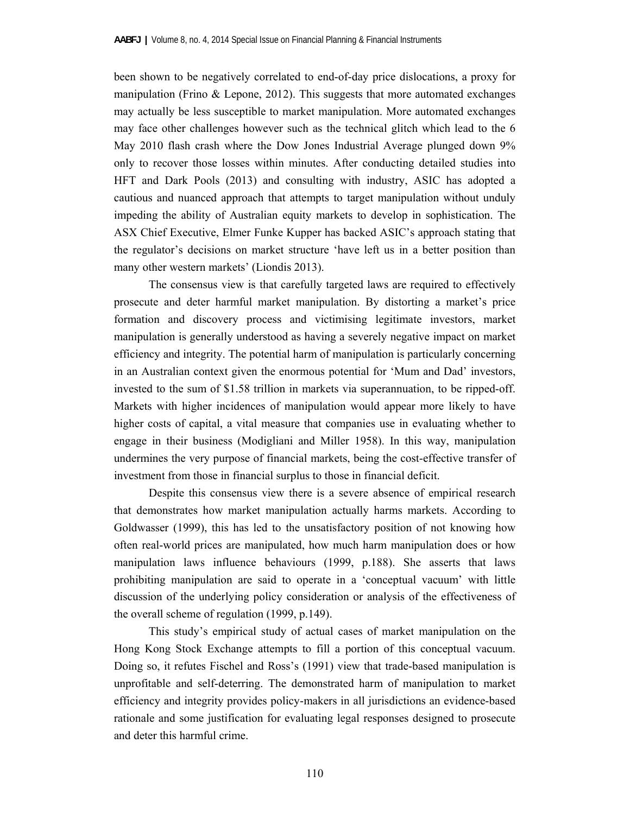been shown to be negatively correlated to end-of-day price dislocations, a proxy for manipulation (Frino  $\&$  Lepone, 2012). This suggests that more automated exchanges may actually be less susceptible to market manipulation. More automated exchanges may face other challenges however such as the technical glitch which lead to the 6 May 2010 flash crash where the Dow Jones Industrial Average plunged down 9% only to recover those losses within minutes. After conducting detailed studies into HFT and Dark Pools (2013) and consulting with industry, ASIC has adopted a cautious and nuanced approach that attempts to target manipulation without unduly impeding the ability of Australian equity markets to develop in sophistication. The ASX Chief Executive, Elmer Funke Kupper has backed ASIC's approach stating that the regulator's decisions on market structure 'have left us in a better position than many other western markets' (Liondis 2013).

The consensus view is that carefully targeted laws are required to effectively prosecute and deter harmful market manipulation. By distorting a market's price formation and discovery process and victimising legitimate investors, market manipulation is generally understood as having a severely negative impact on market efficiency and integrity. The potential harm of manipulation is particularly concerning in an Australian context given the enormous potential for 'Mum and Dad' investors, invested to the sum of \$1.58 trillion in markets via superannuation, to be ripped-off. Markets with higher incidences of manipulation would appear more likely to have higher costs of capital, a vital measure that companies use in evaluating whether to engage in their business (Modigliani and Miller 1958). In this way, manipulation undermines the very purpose of financial markets, being the cost-effective transfer of investment from those in financial surplus to those in financial deficit.

Despite this consensus view there is a severe absence of empirical research that demonstrates how market manipulation actually harms markets. According to Goldwasser (1999), this has led to the unsatisfactory position of not knowing how often real-world prices are manipulated, how much harm manipulation does or how manipulation laws influence behaviours (1999, p.188). She asserts that laws prohibiting manipulation are said to operate in a 'conceptual vacuum' with little discussion of the underlying policy consideration or analysis of the effectiveness of the overall scheme of regulation (1999, p.149).

This study's empirical study of actual cases of market manipulation on the Hong Kong Stock Exchange attempts to fill a portion of this conceptual vacuum. Doing so, it refutes Fischel and Ross's (1991) view that trade-based manipulation is unprofitable and self-deterring. The demonstrated harm of manipulation to market efficiency and integrity provides policy-makers in all jurisdictions an evidence-based rationale and some justification for evaluating legal responses designed to prosecute and deter this harmful crime.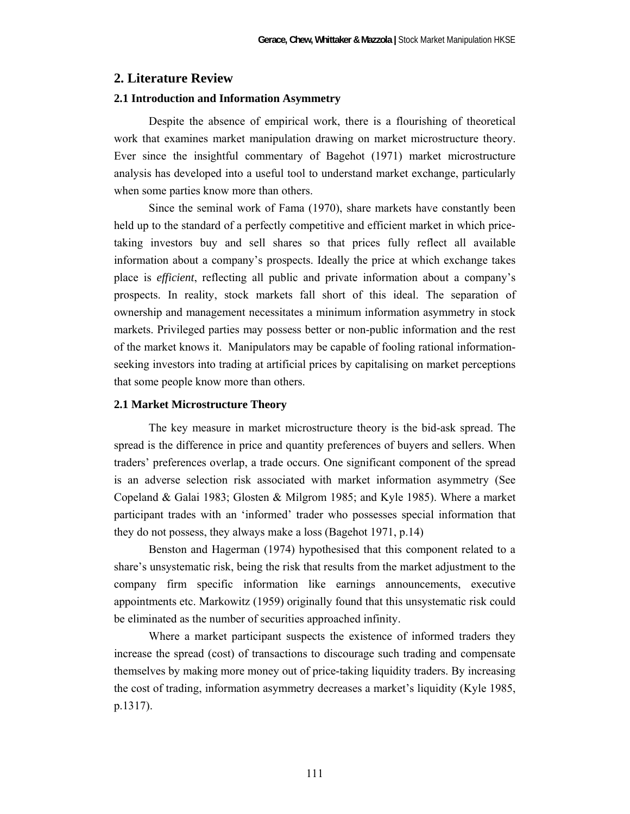# **2. Literature Review**

## **2.1 Introduction and Information Asymmetry**

 Despite the absence of empirical work, there is a flourishing of theoretical work that examines market manipulation drawing on market microstructure theory. Ever since the insightful commentary of Bagehot (1971) market microstructure analysis has developed into a useful tool to understand market exchange, particularly when some parties know more than others.

 Since the seminal work of Fama (1970), share markets have constantly been held up to the standard of a perfectly competitive and efficient market in which pricetaking investors buy and sell shares so that prices fully reflect all available information about a company's prospects. Ideally the price at which exchange takes place is *efficient*, reflecting all public and private information about a company's prospects. In reality, stock markets fall short of this ideal. The separation of ownership and management necessitates a minimum information asymmetry in stock markets. Privileged parties may possess better or non-public information and the rest of the market knows it. Manipulators may be capable of fooling rational informationseeking investors into trading at artificial prices by capitalising on market perceptions that some people know more than others.

#### **2.1 Market Microstructure Theory**

 The key measure in market microstructure theory is the bid-ask spread. The spread is the difference in price and quantity preferences of buyers and sellers. When traders' preferences overlap, a trade occurs. One significant component of the spread is an adverse selection risk associated with market information asymmetry (See Copeland & Galai 1983; Glosten & Milgrom 1985; and Kyle 1985). Where a market participant trades with an 'informed' trader who possesses special information that they do not possess, they always make a loss (Bagehot 1971, p.14)

Benston and Hagerman (1974) hypothesised that this component related to a share's unsystematic risk, being the risk that results from the market adjustment to the company firm specific information like earnings announcements, executive appointments etc. Markowitz (1959) originally found that this unsystematic risk could be eliminated as the number of securities approached infinity.

 Where a market participant suspects the existence of informed traders they increase the spread (cost) of transactions to discourage such trading and compensate themselves by making more money out of price-taking liquidity traders. By increasing the cost of trading, information asymmetry decreases a market's liquidity (Kyle 1985, p.1317).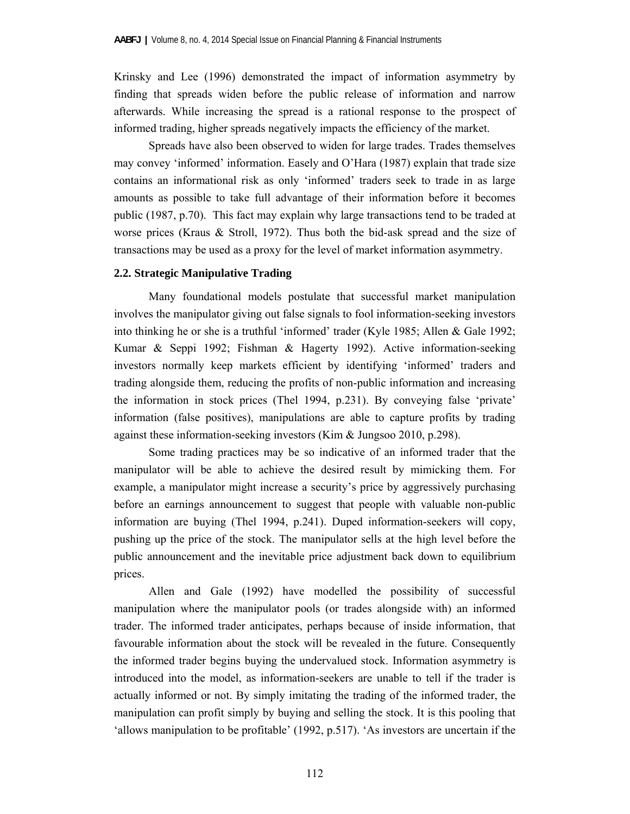Krinsky and Lee (1996) demonstrated the impact of information asymmetry by finding that spreads widen before the public release of information and narrow afterwards. While increasing the spread is a rational response to the prospect of informed trading, higher spreads negatively impacts the efficiency of the market.

 Spreads have also been observed to widen for large trades. Trades themselves may convey 'informed' information. Easely and O'Hara (1987) explain that trade size contains an informational risk as only 'informed' traders seek to trade in as large amounts as possible to take full advantage of their information before it becomes public (1987, p.70). This fact may explain why large transactions tend to be traded at worse prices (Kraus & Stroll, 1972). Thus both the bid-ask spread and the size of transactions may be used as a proxy for the level of market information asymmetry.

# **2.2. Strategic Manipulative Trading**

 Many foundational models postulate that successful market manipulation involves the manipulator giving out false signals to fool information-seeking investors into thinking he or she is a truthful 'informed' trader (Kyle 1985; Allen & Gale 1992; Kumar & Seppi 1992; Fishman & Hagerty 1992). Active information-seeking investors normally keep markets efficient by identifying 'informed' traders and trading alongside them, reducing the profits of non-public information and increasing the information in stock prices (Thel 1994, p.231). By conveying false 'private' information (false positives), manipulations are able to capture profits by trading against these information-seeking investors (Kim & Jungsoo 2010, p.298).

 Some trading practices may be so indicative of an informed trader that the manipulator will be able to achieve the desired result by mimicking them. For example, a manipulator might increase a security's price by aggressively purchasing before an earnings announcement to suggest that people with valuable non-public information are buying (Thel 1994, p.241). Duped information-seekers will copy, pushing up the price of the stock. The manipulator sells at the high level before the public announcement and the inevitable price adjustment back down to equilibrium prices.

 Allen and Gale (1992) have modelled the possibility of successful manipulation where the manipulator pools (or trades alongside with) an informed trader. The informed trader anticipates, perhaps because of inside information, that favourable information about the stock will be revealed in the future. Consequently the informed trader begins buying the undervalued stock. Information asymmetry is introduced into the model, as information-seekers are unable to tell if the trader is actually informed or not. By simply imitating the trading of the informed trader, the manipulation can profit simply by buying and selling the stock. It is this pooling that 'allows manipulation to be profitable' (1992, p.517). 'As investors are uncertain if the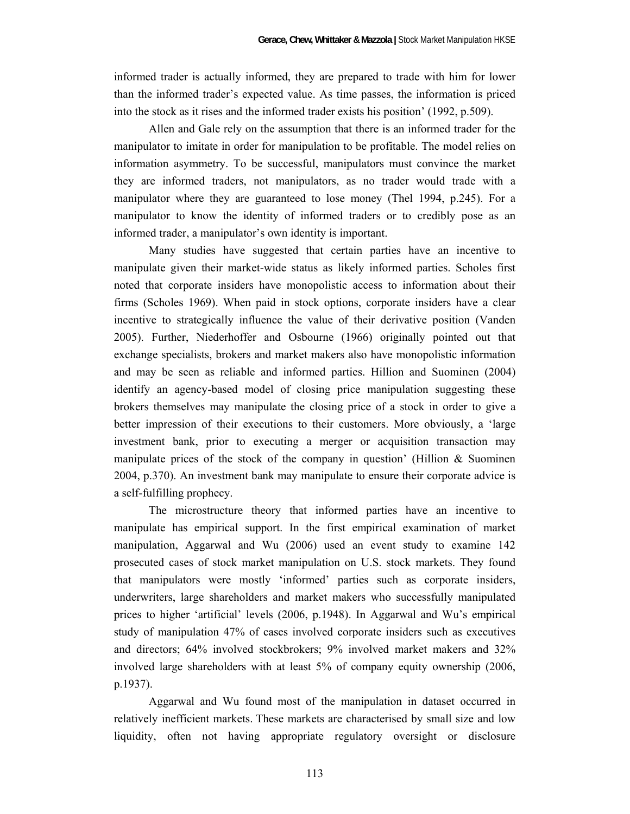informed trader is actually informed, they are prepared to trade with him for lower than the informed trader's expected value. As time passes, the information is priced into the stock as it rises and the informed trader exists his position' (1992, p.509).

 Allen and Gale rely on the assumption that there is an informed trader for the manipulator to imitate in order for manipulation to be profitable. The model relies on information asymmetry. To be successful, manipulators must convince the market they are informed traders, not manipulators, as no trader would trade with a manipulator where they are guaranteed to lose money (Thel 1994, p.245). For a manipulator to know the identity of informed traders or to credibly pose as an informed trader, a manipulator's own identity is important.

 Many studies have suggested that certain parties have an incentive to manipulate given their market-wide status as likely informed parties. Scholes first noted that corporate insiders have monopolistic access to information about their firms (Scholes 1969). When paid in stock options, corporate insiders have a clear incentive to strategically influence the value of their derivative position (Vanden 2005). Further, Niederhoffer and Osbourne (1966) originally pointed out that exchange specialists, brokers and market makers also have monopolistic information and may be seen as reliable and informed parties. Hillion and Suominen (2004) identify an agency-based model of closing price manipulation suggesting these brokers themselves may manipulate the closing price of a stock in order to give a better impression of their executions to their customers. More obviously, a 'large investment bank, prior to executing a merger or acquisition transaction may manipulate prices of the stock of the company in question' (Hillion  $\&$  Suominen 2004, p.370). An investment bank may manipulate to ensure their corporate advice is a self-fulfilling prophecy.

 The microstructure theory that informed parties have an incentive to manipulate has empirical support. In the first empirical examination of market manipulation, Aggarwal and Wu (2006) used an event study to examine 142 prosecuted cases of stock market manipulation on U.S. stock markets. They found that manipulators were mostly 'informed' parties such as corporate insiders, underwriters, large shareholders and market makers who successfully manipulated prices to higher 'artificial' levels (2006, p.1948). In Aggarwal and Wu's empirical study of manipulation 47% of cases involved corporate insiders such as executives and directors; 64% involved stockbrokers; 9% involved market makers and 32% involved large shareholders with at least 5% of company equity ownership (2006, p.1937).

 Aggarwal and Wu found most of the manipulation in dataset occurred in relatively inefficient markets. These markets are characterised by small size and low liquidity, often not having appropriate regulatory oversight or disclosure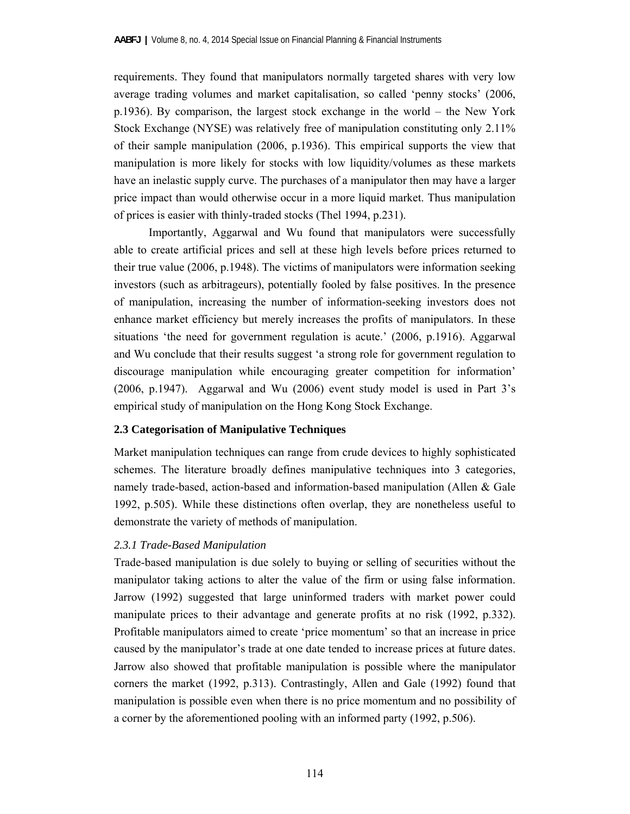requirements. They found that manipulators normally targeted shares with very low average trading volumes and market capitalisation, so called 'penny stocks' (2006, p.1936). By comparison, the largest stock exchange in the world – the New York Stock Exchange (NYSE) was relatively free of manipulation constituting only 2.11% of their sample manipulation (2006, p.1936). This empirical supports the view that manipulation is more likely for stocks with low liquidity/volumes as these markets have an inelastic supply curve. The purchases of a manipulator then may have a larger price impact than would otherwise occur in a more liquid market. Thus manipulation of prices is easier with thinly-traded stocks (Thel 1994, p.231).

 Importantly, Aggarwal and Wu found that manipulators were successfully able to create artificial prices and sell at these high levels before prices returned to their true value (2006, p.1948). The victims of manipulators were information seeking investors (such as arbitrageurs), potentially fooled by false positives. In the presence of manipulation, increasing the number of information-seeking investors does not enhance market efficiency but merely increases the profits of manipulators. In these situations 'the need for government regulation is acute.' (2006, p.1916). Aggarwal and Wu conclude that their results suggest 'a strong role for government regulation to discourage manipulation while encouraging greater competition for information' (2006, p.1947). Aggarwal and Wu (2006) event study model is used in Part 3's empirical study of manipulation on the Hong Kong Stock Exchange.

# **2.3 Categorisation of Manipulative Techniques**

Market manipulation techniques can range from crude devices to highly sophisticated schemes. The literature broadly defines manipulative techniques into 3 categories, namely trade-based, action-based and information-based manipulation (Allen & Gale 1992, p.505). While these distinctions often overlap, they are nonetheless useful to demonstrate the variety of methods of manipulation.

# *2.3.1 Trade-Based Manipulation*

Trade-based manipulation is due solely to buying or selling of securities without the manipulator taking actions to alter the value of the firm or using false information. Jarrow (1992) suggested that large uninformed traders with market power could manipulate prices to their advantage and generate profits at no risk (1992, p.332). Profitable manipulators aimed to create 'price momentum' so that an increase in price caused by the manipulator's trade at one date tended to increase prices at future dates. Jarrow also showed that profitable manipulation is possible where the manipulator corners the market (1992, p.313). Contrastingly, Allen and Gale (1992) found that manipulation is possible even when there is no price momentum and no possibility of a corner by the aforementioned pooling with an informed party (1992, p.506).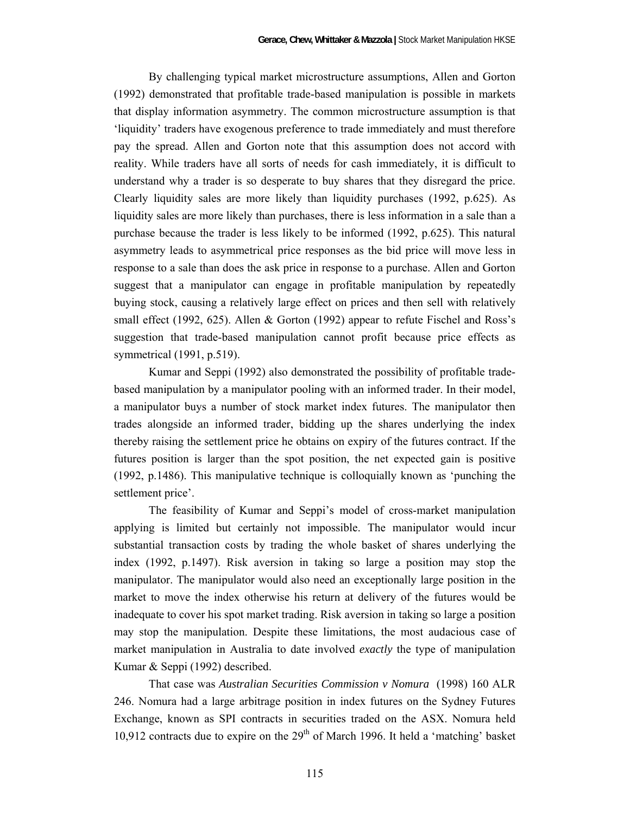By challenging typical market microstructure assumptions, Allen and Gorton (1992) demonstrated that profitable trade-based manipulation is possible in markets that display information asymmetry. The common microstructure assumption is that 'liquidity' traders have exogenous preference to trade immediately and must therefore pay the spread. Allen and Gorton note that this assumption does not accord with reality. While traders have all sorts of needs for cash immediately, it is difficult to understand why a trader is so desperate to buy shares that they disregard the price. Clearly liquidity sales are more likely than liquidity purchases (1992, p.625). As liquidity sales are more likely than purchases, there is less information in a sale than a purchase because the trader is less likely to be informed (1992, p.625). This natural asymmetry leads to asymmetrical price responses as the bid price will move less in response to a sale than does the ask price in response to a purchase. Allen and Gorton suggest that a manipulator can engage in profitable manipulation by repeatedly buying stock, causing a relatively large effect on prices and then sell with relatively small effect (1992, 625). Allen & Gorton (1992) appear to refute Fischel and Ross's suggestion that trade-based manipulation cannot profit because price effects as symmetrical (1991, p.519).

 Kumar and Seppi (1992) also demonstrated the possibility of profitable tradebased manipulation by a manipulator pooling with an informed trader. In their model, a manipulator buys a number of stock market index futures. The manipulator then trades alongside an informed trader, bidding up the shares underlying the index thereby raising the settlement price he obtains on expiry of the futures contract. If the futures position is larger than the spot position, the net expected gain is positive (1992, p.1486). This manipulative technique is colloquially known as 'punching the settlement price'.

 The feasibility of Kumar and Seppi's model of cross-market manipulation applying is limited but certainly not impossible. The manipulator would incur substantial transaction costs by trading the whole basket of shares underlying the index (1992, p.1497). Risk aversion in taking so large a position may stop the manipulator. The manipulator would also need an exceptionally large position in the market to move the index otherwise his return at delivery of the futures would be inadequate to cover his spot market trading. Risk aversion in taking so large a position may stop the manipulation. Despite these limitations, the most audacious case of market manipulation in Australia to date involved *exactly* the type of manipulation Kumar & Seppi (1992) described.

 That case was *Australian Securities Commission v Nomura* (1998) 160 ALR 246. Nomura had a large arbitrage position in index futures on the Sydney Futures Exchange, known as SPI contracts in securities traded on the ASX. Nomura held 10,912 contracts due to expire on the  $29<sup>th</sup>$  of March 1996. It held a 'matching' basket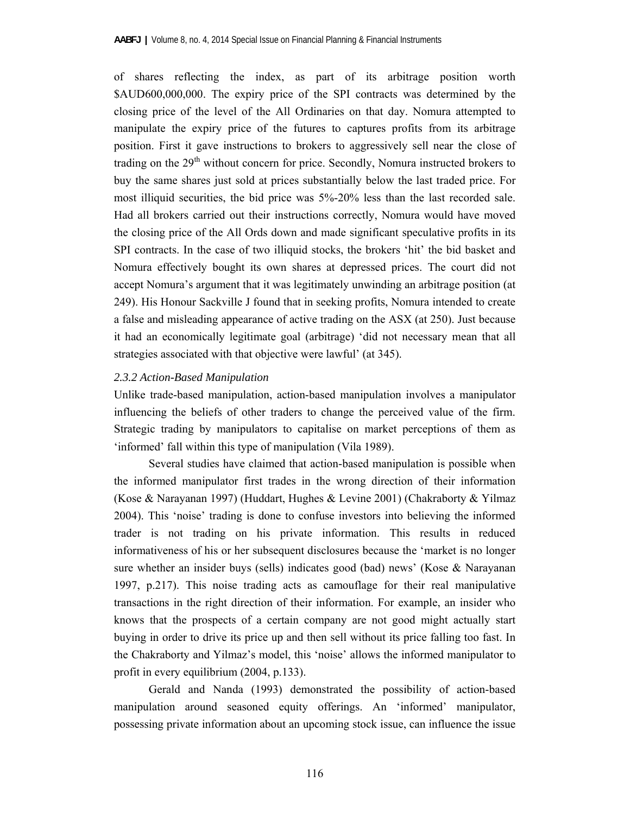of shares reflecting the index, as part of its arbitrage position worth \$AUD600,000,000. The expiry price of the SPI contracts was determined by the closing price of the level of the All Ordinaries on that day. Nomura attempted to manipulate the expiry price of the futures to captures profits from its arbitrage position. First it gave instructions to brokers to aggressively sell near the close of trading on the  $29<sup>th</sup>$  without concern for price. Secondly, Nomura instructed brokers to buy the same shares just sold at prices substantially below the last traded price. For most illiquid securities, the bid price was 5%-20% less than the last recorded sale. Had all brokers carried out their instructions correctly, Nomura would have moved the closing price of the All Ords down and made significant speculative profits in its SPI contracts. In the case of two illiquid stocks, the brokers 'hit' the bid basket and Nomura effectively bought its own shares at depressed prices. The court did not accept Nomura's argument that it was legitimately unwinding an arbitrage position (at 249). His Honour Sackville J found that in seeking profits, Nomura intended to create a false and misleading appearance of active trading on the ASX (at 250). Just because it had an economically legitimate goal (arbitrage) 'did not necessary mean that all strategies associated with that objective were lawful' (at 345).

# *2.3.2 Action-Based Manipulation*

Unlike trade-based manipulation, action-based manipulation involves a manipulator influencing the beliefs of other traders to change the perceived value of the firm. Strategic trading by manipulators to capitalise on market perceptions of them as 'informed' fall within this type of manipulation (Vila 1989).

 Several studies have claimed that action-based manipulation is possible when the informed manipulator first trades in the wrong direction of their information (Kose & Narayanan 1997) (Huddart, Hughes & Levine 2001) (Chakraborty & Yilmaz 2004). This 'noise' trading is done to confuse investors into believing the informed trader is not trading on his private information. This results in reduced informativeness of his or her subsequent disclosures because the 'market is no longer sure whether an insider buys (sells) indicates good (bad) news' (Kose & Narayanan 1997, p.217). This noise trading acts as camouflage for their real manipulative transactions in the right direction of their information. For example, an insider who knows that the prospects of a certain company are not good might actually start buying in order to drive its price up and then sell without its price falling too fast. In the Chakraborty and Yilmaz's model, this 'noise' allows the informed manipulator to profit in every equilibrium (2004, p.133).

 Gerald and Nanda (1993) demonstrated the possibility of action-based manipulation around seasoned equity offerings. An 'informed' manipulator, possessing private information about an upcoming stock issue, can influence the issue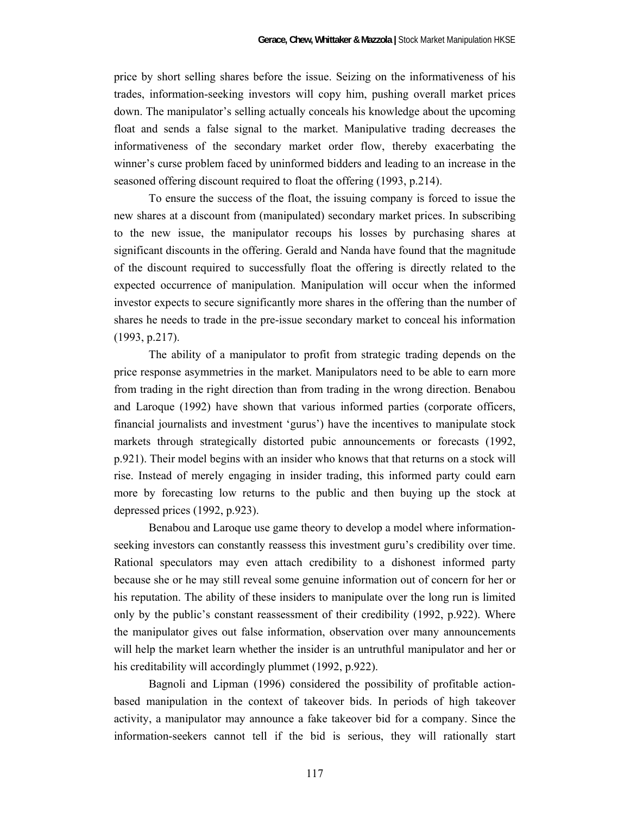price by short selling shares before the issue. Seizing on the informativeness of his trades, information-seeking investors will copy him, pushing overall market prices down. The manipulator's selling actually conceals his knowledge about the upcoming float and sends a false signal to the market. Manipulative trading decreases the informativeness of the secondary market order flow, thereby exacerbating the winner's curse problem faced by uninformed bidders and leading to an increase in the seasoned offering discount required to float the offering (1993, p.214).

 To ensure the success of the float, the issuing company is forced to issue the new shares at a discount from (manipulated) secondary market prices. In subscribing to the new issue, the manipulator recoups his losses by purchasing shares at significant discounts in the offering. Gerald and Nanda have found that the magnitude of the discount required to successfully float the offering is directly related to the expected occurrence of manipulation. Manipulation will occur when the informed investor expects to secure significantly more shares in the offering than the number of shares he needs to trade in the pre-issue secondary market to conceal his information (1993, p.217).

 The ability of a manipulator to profit from strategic trading depends on the price response asymmetries in the market. Manipulators need to be able to earn more from trading in the right direction than from trading in the wrong direction. Benabou and Laroque (1992) have shown that various informed parties (corporate officers, financial journalists and investment 'gurus') have the incentives to manipulate stock markets through strategically distorted pubic announcements or forecasts (1992, p.921). Their model begins with an insider who knows that that returns on a stock will rise. Instead of merely engaging in insider trading, this informed party could earn more by forecasting low returns to the public and then buying up the stock at depressed prices (1992, p.923).

 Benabou and Laroque use game theory to develop a model where informationseeking investors can constantly reassess this investment guru's credibility over time. Rational speculators may even attach credibility to a dishonest informed party because she or he may still reveal some genuine information out of concern for her or his reputation. The ability of these insiders to manipulate over the long run is limited only by the public's constant reassessment of their credibility (1992, p.922). Where the manipulator gives out false information, observation over many announcements will help the market learn whether the insider is an untruthful manipulator and her or his creditability will accordingly plummet (1992, p.922).

 Bagnoli and Lipman (1996) considered the possibility of profitable actionbased manipulation in the context of takeover bids. In periods of high takeover activity, a manipulator may announce a fake takeover bid for a company. Since the information-seekers cannot tell if the bid is serious, they will rationally start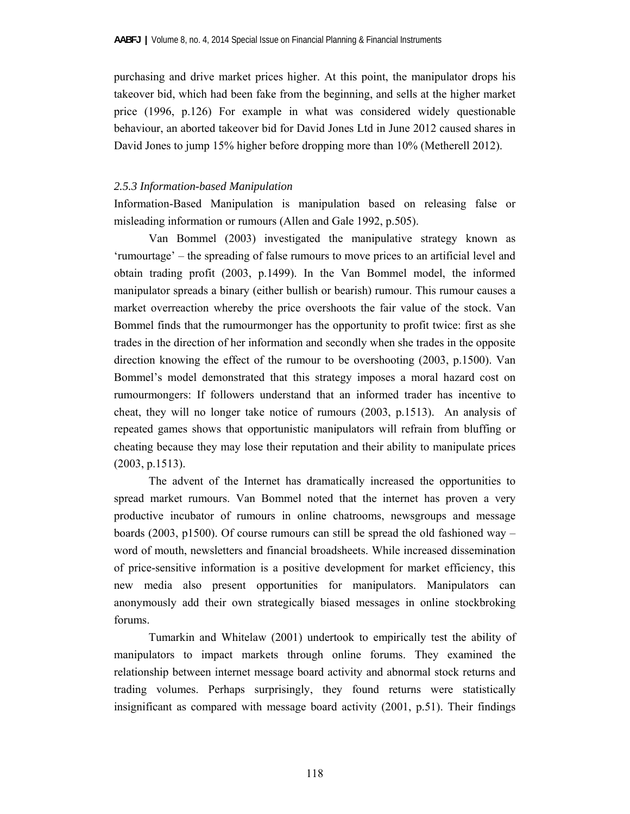purchasing and drive market prices higher. At this point, the manipulator drops his takeover bid, which had been fake from the beginning, and sells at the higher market price (1996, p.126) For example in what was considered widely questionable behaviour, an aborted takeover bid for David Jones Ltd in June 2012 caused shares in David Jones to jump 15% higher before dropping more than 10% (Metherell 2012).

# *2.5.3 Information-based Manipulation*

Information-Based Manipulation is manipulation based on releasing false or misleading information or rumours (Allen and Gale 1992, p.505).

 Van Bommel (2003) investigated the manipulative strategy known as 'rumourtage' – the spreading of false rumours to move prices to an artificial level and obtain trading profit (2003, p.1499). In the Van Bommel model, the informed manipulator spreads a binary (either bullish or bearish) rumour. This rumour causes a market overreaction whereby the price overshoots the fair value of the stock. Van Bommel finds that the rumourmonger has the opportunity to profit twice: first as she trades in the direction of her information and secondly when she trades in the opposite direction knowing the effect of the rumour to be overshooting (2003, p.1500). Van Bommel's model demonstrated that this strategy imposes a moral hazard cost on rumourmongers: If followers understand that an informed trader has incentive to cheat, they will no longer take notice of rumours (2003, p.1513). An analysis of repeated games shows that opportunistic manipulators will refrain from bluffing or cheating because they may lose their reputation and their ability to manipulate prices (2003, p.1513).

The advent of the Internet has dramatically increased the opportunities to spread market rumours. Van Bommel noted that the internet has proven a very productive incubator of rumours in online chatrooms, newsgroups and message boards (2003, p1500). Of course rumours can still be spread the old fashioned way – word of mouth, newsletters and financial broadsheets. While increased dissemination of price-sensitive information is a positive development for market efficiency, this new media also present opportunities for manipulators. Manipulators can anonymously add their own strategically biased messages in online stockbroking forums.

Tumarkin and Whitelaw (2001) undertook to empirically test the ability of manipulators to impact markets through online forums. They examined the relationship between internet message board activity and abnormal stock returns and trading volumes. Perhaps surprisingly, they found returns were statistically insignificant as compared with message board activity (2001, p.51). Their findings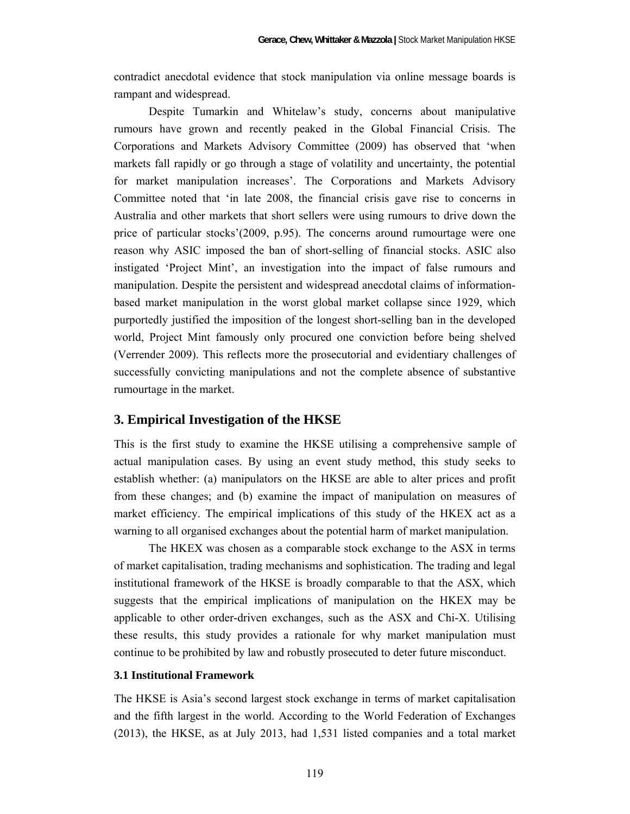contradict anecdotal evidence that stock manipulation via online message boards is rampant and widespread.

 Despite Tumarkin and Whitelaw's study, concerns about manipulative rumours have grown and recently peaked in the Global Financial Crisis. The Corporations and Markets Advisory Committee (2009) has observed that 'when markets fall rapidly or go through a stage of volatility and uncertainty, the potential for market manipulation increases'. The Corporations and Markets Advisory Committee noted that 'in late 2008, the financial crisis gave rise to concerns in Australia and other markets that short sellers were using rumours to drive down the price of particular stocks'(2009, p.95). The concerns around rumourtage were one reason why ASIC imposed the ban of short-selling of financial stocks. ASIC also instigated 'Project Mint', an investigation into the impact of false rumours and manipulation. Despite the persistent and widespread anecdotal claims of informationbased market manipulation in the worst global market collapse since 1929, which purportedly justified the imposition of the longest short-selling ban in the developed world, Project Mint famously only procured one conviction before being shelved (Verrender 2009). This reflects more the prosecutorial and evidentiary challenges of successfully convicting manipulations and not the complete absence of substantive rumourtage in the market.

# **3. Empirical Investigation of the HKSE**

This is the first study to examine the HKSE utilising a comprehensive sample of actual manipulation cases. By using an event study method, this study seeks to establish whether: (a) manipulators on the HKSE are able to alter prices and profit from these changes; and (b) examine the impact of manipulation on measures of market efficiency. The empirical implications of this study of the HKEX act as a warning to all organised exchanges about the potential harm of market manipulation.

 The HKEX was chosen as a comparable stock exchange to the ASX in terms of market capitalisation, trading mechanisms and sophistication. The trading and legal institutional framework of the HKSE is broadly comparable to that the ASX, which suggests that the empirical implications of manipulation on the HKEX may be applicable to other order-driven exchanges, such as the ASX and Chi-X. Utilising these results, this study provides a rationale for why market manipulation must continue to be prohibited by law and robustly prosecuted to deter future misconduct.

#### **3.1 Institutional Framework**

The HKSE is Asia's second largest stock exchange in terms of market capitalisation and the fifth largest in the world. According to the World Federation of Exchanges (2013), the HKSE, as at July 2013, had 1,531 listed companies and a total market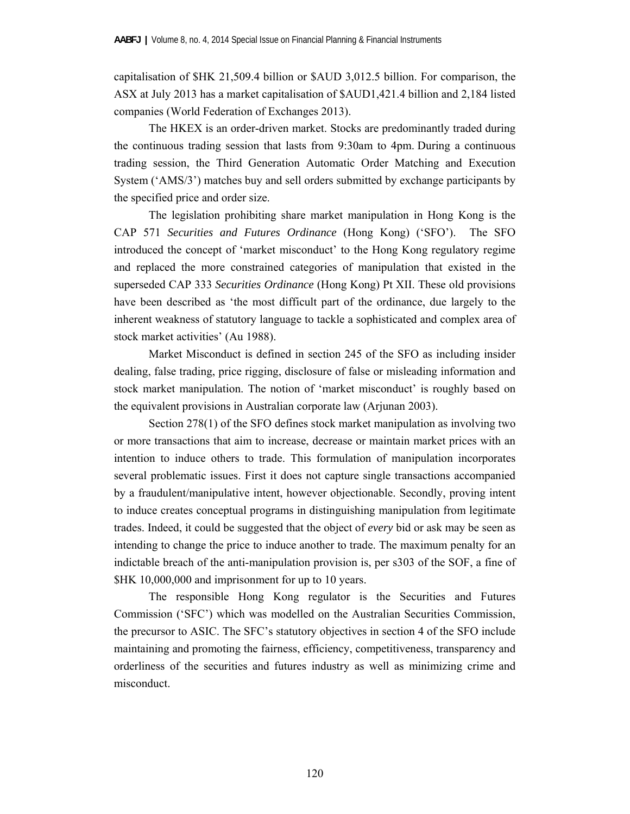capitalisation of \$HK 21,509.4 billion or \$AUD 3,012.5 billion. For comparison, the ASX at July 2013 has a market capitalisation of \$AUD1,421.4 billion and 2,184 listed companies (World Federation of Exchanges 2013).

 The HKEX is an order-driven market. Stocks are predominantly traded during the continuous trading session that lasts from 9:30am to 4pm. During a continuous trading session, the Third Generation Automatic Order Matching and Execution System ('AMS/3') matches buy and sell orders submitted by exchange participants by the specified price and order size.

 The legislation prohibiting share market manipulation in Hong Kong is the CAP 571 *Securities and Futures Ordinance* (Hong Kong) ('SFO'). The SFO introduced the concept of 'market misconduct' to the Hong Kong regulatory regime and replaced the more constrained categories of manipulation that existed in the superseded CAP 333 *Securities Ordinance* (Hong Kong) Pt XII. These old provisions have been described as 'the most difficult part of the ordinance, due largely to the inherent weakness of statutory language to tackle a sophisticated and complex area of stock market activities' (Au 1988).

 Market Misconduct is defined in section 245 of the SFO as including insider dealing, false trading, price rigging, disclosure of false or misleading information and stock market manipulation. The notion of 'market misconduct' is roughly based on the equivalent provisions in Australian corporate law (Arjunan 2003).

 Section 278(1) of the SFO defines stock market manipulation as involving two or more transactions that aim to increase, decrease or maintain market prices with an intention to induce others to trade. This formulation of manipulation incorporates several problematic issues. First it does not capture single transactions accompanied by a fraudulent/manipulative intent, however objectionable. Secondly, proving intent to induce creates conceptual programs in distinguishing manipulation from legitimate trades. Indeed, it could be suggested that the object of *every* bid or ask may be seen as intending to change the price to induce another to trade. The maximum penalty for an indictable breach of the anti-manipulation provision is, per s303 of the SOF, a fine of \$HK 10,000,000 and imprisonment for up to 10 years.

 The responsible Hong Kong regulator is the Securities and Futures Commission ('SFC') which was modelled on the Australian Securities Commission, the precursor to ASIC. The SFC's statutory objectives in section 4 of the SFO include maintaining and promoting the fairness, efficiency, competitiveness, transparency and orderliness of the securities and futures industry as well as minimizing crime and misconduct.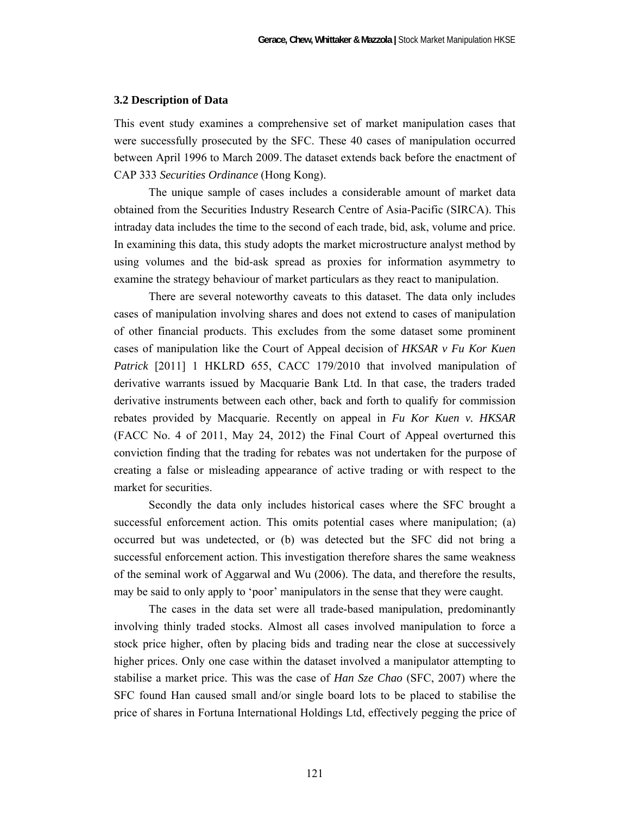#### **3.2 Description of Data**

This event study examines a comprehensive set of market manipulation cases that were successfully prosecuted by the SFC. These 40 cases of manipulation occurred between April 1996 to March 2009. The dataset extends back before the enactment of CAP 333 *Securities Ordinance* (Hong Kong).

 The unique sample of cases includes a considerable amount of market data obtained from the Securities Industry Research Centre of Asia-Pacific (SIRCA). This intraday data includes the time to the second of each trade, bid, ask, volume and price. In examining this data, this study adopts the market microstructure analyst method by using volumes and the bid-ask spread as proxies for information asymmetry to examine the strategy behaviour of market particulars as they react to manipulation.

 There are several noteworthy caveats to this dataset. The data only includes cases of manipulation involving shares and does not extend to cases of manipulation of other financial products. This excludes from the some dataset some prominent cases of manipulation like the Court of Appeal decision of *HKSAR v Fu Kor Kuen Patrick* [2011] 1 HKLRD 655, CACC 179/2010 that involved manipulation of derivative warrants issued by Macquarie Bank Ltd. In that case, the traders traded derivative instruments between each other, back and forth to qualify for commission rebates provided by Macquarie. Recently on appeal in *Fu Kor Kuen v. HKSAR*  (FACC No. 4 of 2011, May 24, 2012) the Final Court of Appeal overturned this conviction finding that the trading for rebates was not undertaken for the purpose of creating a false or misleading appearance of active trading or with respect to the market for securities.

 Secondly the data only includes historical cases where the SFC brought a successful enforcement action. This omits potential cases where manipulation; (a) occurred but was undetected, or (b) was detected but the SFC did not bring a successful enforcement action. This investigation therefore shares the same weakness of the seminal work of Aggarwal and Wu (2006). The data, and therefore the results, may be said to only apply to 'poor' manipulators in the sense that they were caught.

 The cases in the data set were all trade-based manipulation, predominantly involving thinly traded stocks. Almost all cases involved manipulation to force a stock price higher, often by placing bids and trading near the close at successively higher prices. Only one case within the dataset involved a manipulator attempting to stabilise a market price. This was the case of *Han Sze Chao* (SFC, 2007) where the SFC found Han caused small and/or single board lots to be placed to stabilise the price of shares in Fortuna International Holdings Ltd, effectively pegging the price of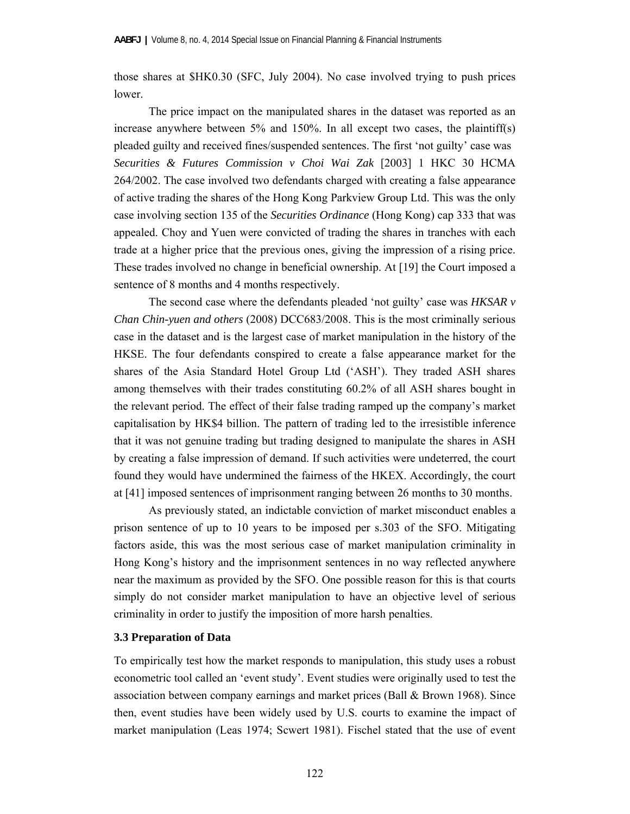those shares at \$HK0.30 (SFC, July 2004). No case involved trying to push prices lower.

 The price impact on the manipulated shares in the dataset was reported as an increase anywhere between 5% and 150%. In all except two cases, the plaintiff(s) pleaded guilty and received fines/suspended sentences. The first 'not guilty' case was *Securities & Futures Commission v Choi Wai Zak* [2003] 1 HKC 30 HCMA 264/2002. The case involved two defendants charged with creating a false appearance of active trading the shares of the Hong Kong Parkview Group Ltd. This was the only case involving section 135 of the *Securities Ordinance* (Hong Kong) cap 333 that was appealed. Choy and Yuen were convicted of trading the shares in tranches with each trade at a higher price that the previous ones, giving the impression of a rising price. These trades involved no change in beneficial ownership. At [19] the Court imposed a sentence of 8 months and 4 months respectively.

 The second case where the defendants pleaded 'not guilty' case was *HKSAR v Chan Chin-yuen and others* (2008) DCC683/2008. This is the most criminally serious case in the dataset and is the largest case of market manipulation in the history of the HKSE. The four defendants conspired to create a false appearance market for the shares of the Asia Standard Hotel Group Ltd ('ASH'). They traded ASH shares among themselves with their trades constituting 60.2% of all ASH shares bought in the relevant period. The effect of their false trading ramped up the company's market capitalisation by HK\$4 billion. The pattern of trading led to the irresistible inference that it was not genuine trading but trading designed to manipulate the shares in ASH by creating a false impression of demand. If such activities were undeterred, the court found they would have undermined the fairness of the HKEX. Accordingly, the court at [41] imposed sentences of imprisonment ranging between 26 months to 30 months.

As previously stated, an indictable conviction of market misconduct enables a prison sentence of up to 10 years to be imposed per s.303 of the SFO. Mitigating factors aside, this was the most serious case of market manipulation criminality in Hong Kong's history and the imprisonment sentences in no way reflected anywhere near the maximum as provided by the SFO. One possible reason for this is that courts simply do not consider market manipulation to have an objective level of serious criminality in order to justify the imposition of more harsh penalties.

## **3.3 Preparation of Data**

To empirically test how the market responds to manipulation, this study uses a robust econometric tool called an 'event study'. Event studies were originally used to test the association between company earnings and market prices (Ball & Brown 1968). Since then, event studies have been widely used by U.S. courts to examine the impact of market manipulation (Leas 1974; Scwert 1981). Fischel stated that the use of event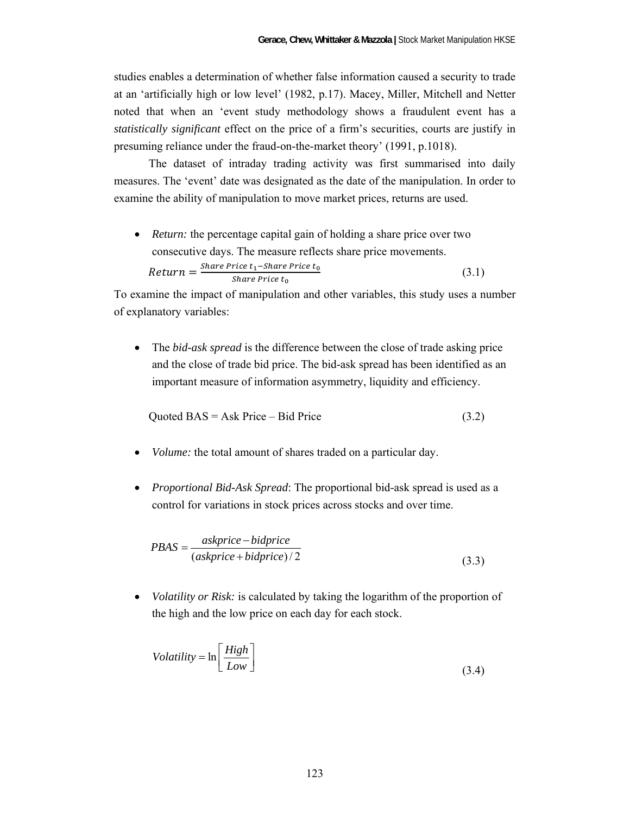studies enables a determination of whether false information caused a security to trade at an 'artificially high or low level' (1982, p.17). Macey, Miller, Mitchell and Netter noted that when an 'event study methodology shows a fraudulent event has a *statistically significant* effect on the price of a firm's securities, courts are justify in presuming reliance under the fraud-on-the-market theory' (1991, p.1018).

 The dataset of intraday trading activity was first summarised into daily measures. The 'event' date was designated as the date of the manipulation. In order to examine the ability of manipulation to move market prices, returns are used.

• *Return:* the percentage capital gain of holding a share price over two consecutive days. The measure reflects share price movements. 
$$
Return = \frac{Share\ Price\ t_1 - share\ Price\ t_0}{Share\ Price\ t_0}
$$
 (3.1)

To examine the impact of manipulation and other variables, this study uses a number of explanatory variables:

 The *bid-ask spread* is the difference between the close of trade asking price and the close of trade bid price. The bid-ask spread has been identified as an important measure of information asymmetry, liquidity and efficiency.

$$
Quoted BAS = Ask Price - Bid Price \tag{3.2}
$$

- *Volume:* the total amount of shares traded on a particular day.
- *Proportional Bid-Ask Spread*: The proportional bid-ask spread is used as a control for variations in stock prices across stocks and over time.

$$
PBAS = \frac{askprice - bidprice}{(askprice + bidprice)/2}
$$
\n(3.3)

 *Volatility or Risk:* is calculated by taking the logarithm of the proportion of the high and the low price on each day for each stock.

$$
Volatility = \ln\left[\frac{High}{Low}\right]
$$
\n(3.4)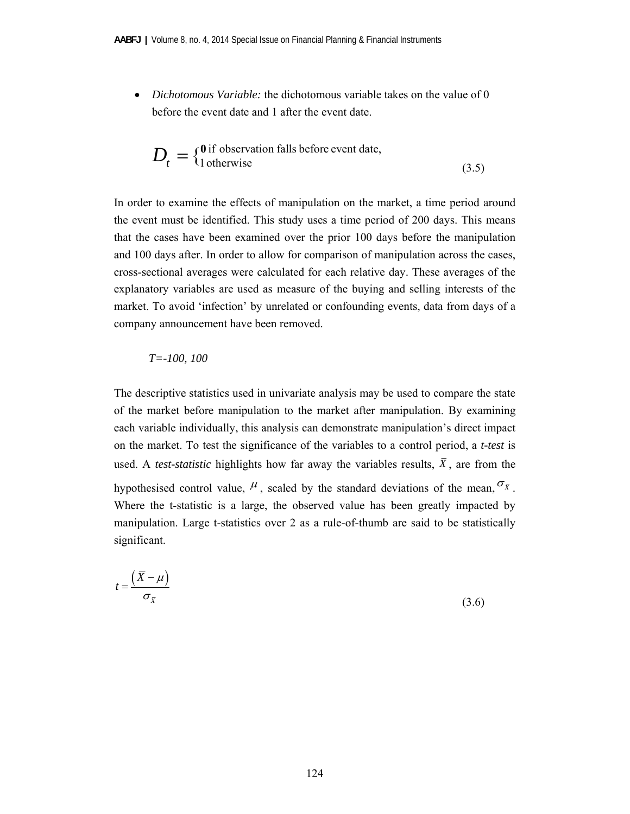*Dichotomous Variable:* the dichotomous variable takes on the value of 0 before the event date and 1 after the event date.

$$
D_t = \{^{\text{0 if observation falls before event date,}}_{1 \text{ otherwise}}\tag{3.5}
$$

In order to examine the effects of manipulation on the market, a time period around the event must be identified. This study uses a time period of 200 days. This means that the cases have been examined over the prior 100 days before the manipulation and 100 days after. In order to allow for comparison of manipulation across the cases, cross-sectional averages were calculated for each relative day. These averages of the explanatory variables are used as measure of the buying and selling interests of the market. To avoid 'infection' by unrelated or confounding events, data from days of a company announcement have been removed.

#### *T=-100, 100*

The descriptive statistics used in univariate analysis may be used to compare the state of the market before manipulation to the market after manipulation. By examining each variable individually, this analysis can demonstrate manipulation's direct impact on the market. To test the significance of the variables to a control period, a *t-test* is used. A *test-statistic* highlights how far away the variables results,  $\overline{X}$ , are from the hypothesised control value,  $\mu$ , scaled by the standard deviations of the mean,  $\sigma_{\bar{x}}$ . Where the t-statistic is a large, the observed value has been greatly impacted by manipulation. Large t-statistics over 2 as a rule-of-thumb are said to be statistically significant.

$$
t = \frac{\left(\overline{X} - \mu\right)}{\sigma_{\overline{X}}}
$$
\n(3.6)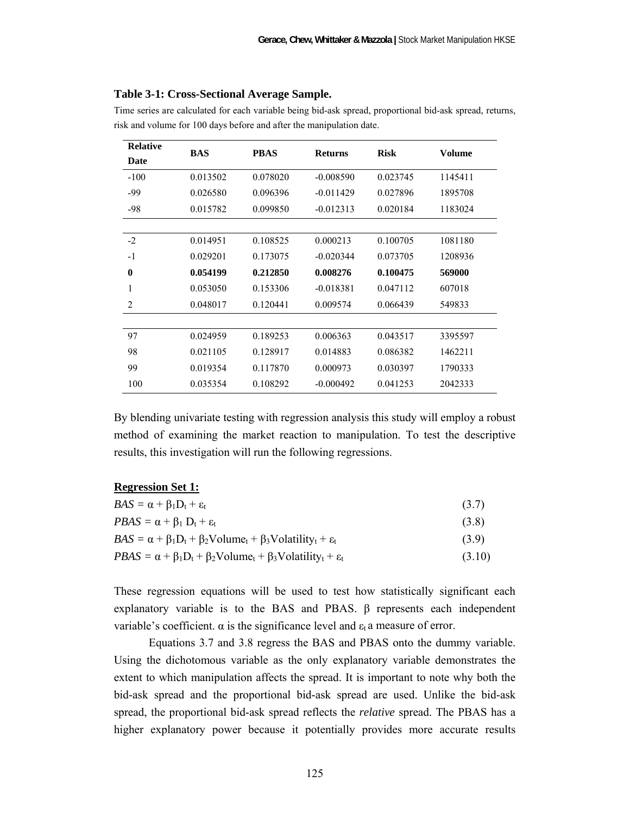| <b>Relative</b> | <b>BAS</b> | <b>PBAS</b><br><b>Risk</b><br><b>Returns</b> |             |          |               |  |
|-----------------|------------|----------------------------------------------|-------------|----------|---------------|--|
| Date            |            |                                              |             |          | <b>Volume</b> |  |
| $-100$          | 0.013502   | 0.078020                                     | $-0.008590$ | 0.023745 | 1145411       |  |
| -99             | 0.026580   | 0.096396                                     | $-0.011429$ | 0.027896 | 1895708       |  |
| $-98$           | 0.015782   | 0.099850                                     | $-0.012313$ | 0.020184 | 1183024       |  |
|                 |            |                                              |             |          |               |  |
| $-2$            | 0.014951   | 0.108525                                     | 0.000213    | 0.100705 | 1081180       |  |
| $-1$            | 0.029201   | 0.173075                                     | $-0.020344$ | 0.073705 | 1208936       |  |
| $\bf{0}$        | 0.054199   | 0.212850                                     | 0.008276    | 0.100475 | 569000        |  |
| 1               | 0.053050   | 0.153306                                     | $-0.018381$ | 0.047112 | 607018        |  |
| 2               | 0.048017   | 0.120441                                     | 0.009574    | 0.066439 | 549833        |  |
|                 |            |                                              |             |          |               |  |
| 97              | 0.024959   | 0.189253                                     | 0.006363    | 0.043517 | 3395597       |  |
| 98              | 0.021105   | 0.128917                                     | 0.014883    | 0.086382 | 1462211       |  |
| 99              | 0.019354   | 0.117870                                     | 0.000973    | 0.030397 | 1790333       |  |
| 100             | 0.035354   | 0.108292                                     | $-0.000492$ | 0.041253 | 2042333       |  |

Time series are calculated for each variable being bid-ask spread, proportional bid-ask spread, returns, risk and volume for 100 days before and after the manipulation date.

By blending univariate testing with regression analysis this study will employ a robust method of examining the market reaction to manipulation. To test the descriptive results, this investigation will run the following regressions.

| <b>Regression Set 1:</b> |  |
|--------------------------|--|
|--------------------------|--|

| $BAS = \alpha + \beta_1 D_t + \varepsilon_t$                                                          | (3.7)  |
|-------------------------------------------------------------------------------------------------------|--------|
| $PBAS = \alpha + \beta_1 D_t + \varepsilon_t$                                                         | (3.8)  |
| $BAS = \alpha + \beta_1 D_t + \beta_2 \text{Volume}_t + \beta_3 \text{Volatility}_t + \varepsilon_t$  | (3.9)  |
| $PBAS = \alpha + \beta_1 D_t + \beta_2 \text{Volume}_t + \beta_3 \text{Volatility}_t + \varepsilon_t$ | (3.10) |

These regression equations will be used to test how statistically significant each explanatory variable is to the BAS and PBAS. β represents each independent variable's coefficient.  $\alpha$  is the significance level and  $\varepsilon_t$  a measure of error.

 Equations 3.7 and 3.8 regress the BAS and PBAS onto the dummy variable. Using the dichotomous variable as the only explanatory variable demonstrates the extent to which manipulation affects the spread. It is important to note why both the bid-ask spread and the proportional bid-ask spread are used. Unlike the bid-ask spread, the proportional bid-ask spread reflects the *relative* spread. The PBAS has a higher explanatory power because it potentially provides more accurate results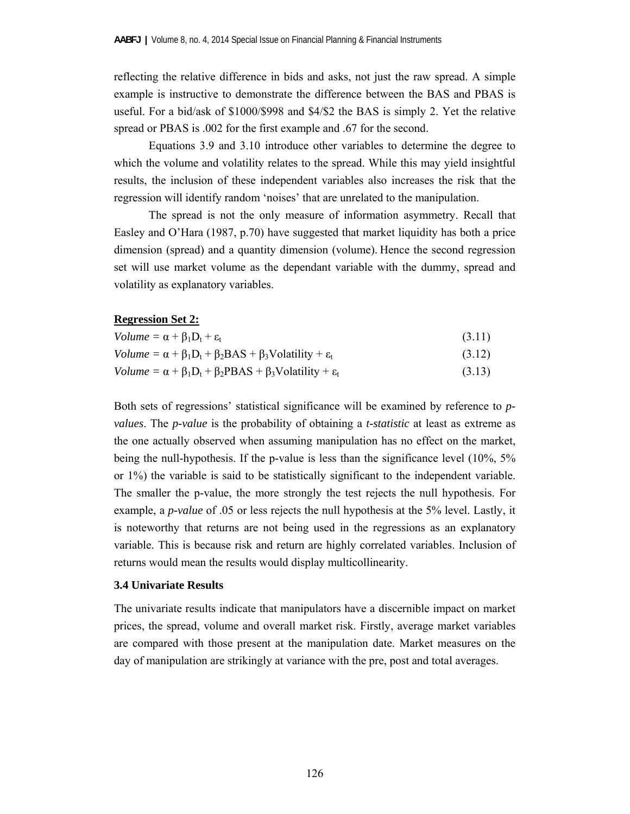reflecting the relative difference in bids and asks, not just the raw spread. A simple example is instructive to demonstrate the difference between the BAS and PBAS is useful. For a bid/ask of \$1000/\$998 and \$4/\$2 the BAS is simply 2. Yet the relative spread or PBAS is .002 for the first example and .67 for the second.

 Equations 3.9 and 3.10 introduce other variables to determine the degree to which the volume and volatility relates to the spread. While this may yield insightful results, the inclusion of these independent variables also increases the risk that the regression will identify random 'noises' that are unrelated to the manipulation.

 The spread is not the only measure of information asymmetry. Recall that Easley and O'Hara (1987, p.70) have suggested that market liquidity has both a price dimension (spread) and a quantity dimension (volume). Hence the second regression set will use market volume as the dependant variable with the dummy, spread and volatility as explanatory variables.

#### **Regression Set 2:**

| $Volume = \alpha + \beta_1 D_t + \varepsilon_t$                                           | (3.11) |
|-------------------------------------------------------------------------------------------|--------|
| Volume = $\alpha + \beta_1 D_t + \beta_2 BAS + \beta_3$ Volatility + $\varepsilon_t$      | (3.12) |
| Volume = $\alpha + \beta_1 D_t + \beta_2 P B A S + \beta_3 V$ olatility + $\varepsilon_t$ | (3.13) |

Both sets of regressions' statistical significance will be examined by reference to *pvalues*. The *p-value* is the probability of obtaining a *t-statistic* at least as extreme as the one actually observed when assuming manipulation has no effect on the market, being the null-hypothesis. If the p-value is less than the significance level (10%, 5% or 1%) the variable is said to be statistically significant to the independent variable. The smaller the p-value, the more strongly the test rejects the null hypothesis. For example, a *p-value* of .05 or less rejects the null hypothesis at the 5% level. Lastly, it is noteworthy that returns are not being used in the regressions as an explanatory variable. This is because risk and return are highly correlated variables. Inclusion of returns would mean the results would display multicollinearity.

#### **3.4 Univariate Results**

The univariate results indicate that manipulators have a discernible impact on market prices, the spread, volume and overall market risk. Firstly, average market variables are compared with those present at the manipulation date. Market measures on the day of manipulation are strikingly at variance with the pre, post and total averages.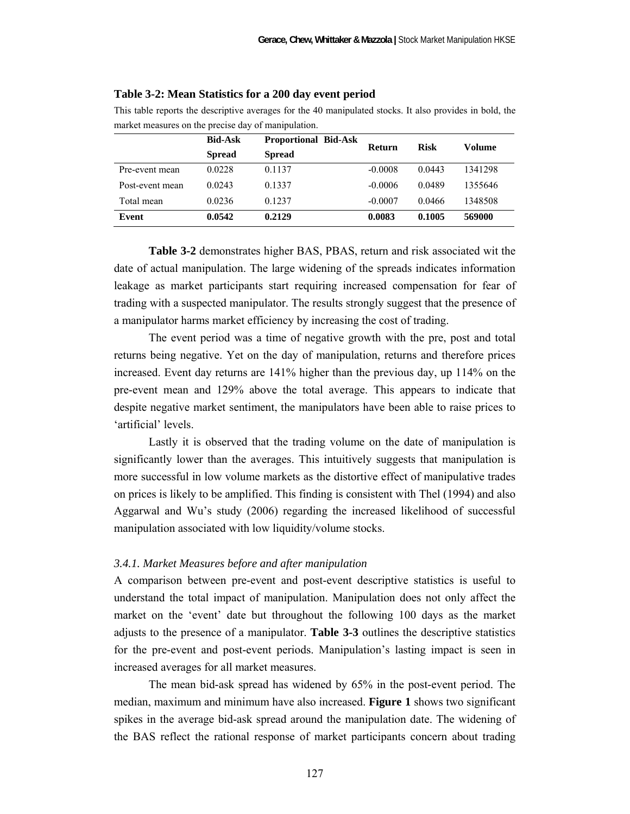|                 | market measures on the precise day of manipulation.<br><b>Bid-Ask</b><br><b>Proportional Bid-Ask</b><br><b>Risk</b><br>Volume<br><b>Return</b> |               |           |        |         |  |  |
|-----------------|------------------------------------------------------------------------------------------------------------------------------------------------|---------------|-----------|--------|---------|--|--|
|                 |                                                                                                                                                |               |           |        |         |  |  |
|                 | <b>Spread</b>                                                                                                                                  | <b>Spread</b> |           |        |         |  |  |
| Pre-event mean  | 0.0228                                                                                                                                         | 0.1137        | $-0.0008$ | 0.0443 | 1341298 |  |  |
| Post-event mean | 0.0243                                                                                                                                         | 0.1337        | $-0.0006$ | 0.0489 | 1355646 |  |  |
| Total mean      | 0.0236                                                                                                                                         | 0.1237        | $-0.0007$ | 0.0466 | 1348508 |  |  |
| Event           | 0.0542                                                                                                                                         | 0.2129        | 0.0083    | 0.1005 | 569000  |  |  |

#### **Table 3-2: Mean Statistics for a 200 day event period**

This table reports the descriptive averages for the 40 manipulated stocks. It also provides in bold, the market measures on the precise day of manipulation.

**Table 3-2** demonstrates higher BAS, PBAS, return and risk associated wit the date of actual manipulation. The large widening of the spreads indicates information leakage as market participants start requiring increased compensation for fear of trading with a suspected manipulator. The results strongly suggest that the presence of a manipulator harms market efficiency by increasing the cost of trading.

 The event period was a time of negative growth with the pre, post and total returns being negative. Yet on the day of manipulation, returns and therefore prices increased. Event day returns are 141% higher than the previous day, up 114% on the pre-event mean and 129% above the total average. This appears to indicate that despite negative market sentiment, the manipulators have been able to raise prices to 'artificial' levels.

 Lastly it is observed that the trading volume on the date of manipulation is significantly lower than the averages. This intuitively suggests that manipulation is more successful in low volume markets as the distortive effect of manipulative trades on prices is likely to be amplified. This finding is consistent with Thel (1994) and also Aggarwal and Wu's study (2006) regarding the increased likelihood of successful manipulation associated with low liquidity/volume stocks.

#### *3.4.1. Market Measures before and after manipulation*

A comparison between pre-event and post-event descriptive statistics is useful to understand the total impact of manipulation. Manipulation does not only affect the market on the 'event' date but throughout the following 100 days as the market adjusts to the presence of a manipulator. **Table 3-3** outlines the descriptive statistics for the pre-event and post-event periods. Manipulation's lasting impact is seen in increased averages for all market measures.

The mean bid-ask spread has widened by 65% in the post-event period. The median, maximum and minimum have also increased. **Figure 1** shows two significant spikes in the average bid-ask spread around the manipulation date. The widening of the BAS reflect the rational response of market participants concern about trading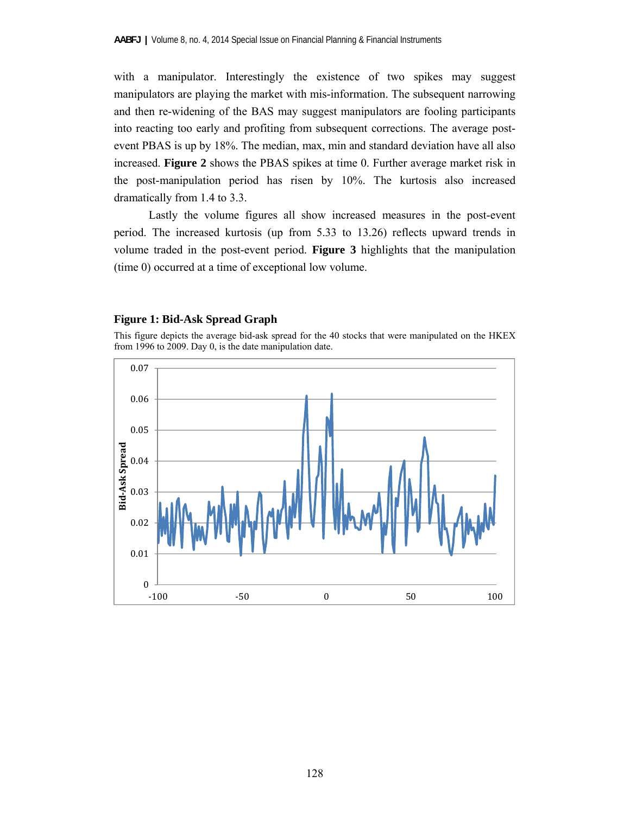with a manipulator. Interestingly the existence of two spikes may suggest manipulators are playing the market with mis-information. The subsequent narrowing and then re-widening of the BAS may suggest manipulators are fooling participants into reacting too early and profiting from subsequent corrections. The average postevent PBAS is up by 18%. The median, max, min and standard deviation have all also increased. **Figure 2** shows the PBAS spikes at time 0. Further average market risk in the post-manipulation period has risen by 10%. The kurtosis also increased dramatically from 1.4 to 3.3.

 Lastly the volume figures all show increased measures in the post-event period. The increased kurtosis (up from 5.33 to 13.26) reflects upward trends in volume traded in the post-event period. **Figure 3** highlights that the manipulation (time 0) occurred at a time of exceptional low volume.

#### **Figure 1: Bid-Ask Spread Graph**

This figure depicts the average bid-ask spread for the 40 stocks that were manipulated on the HKEX from 1996 to 2009. Day 0, is the date manipulation date.

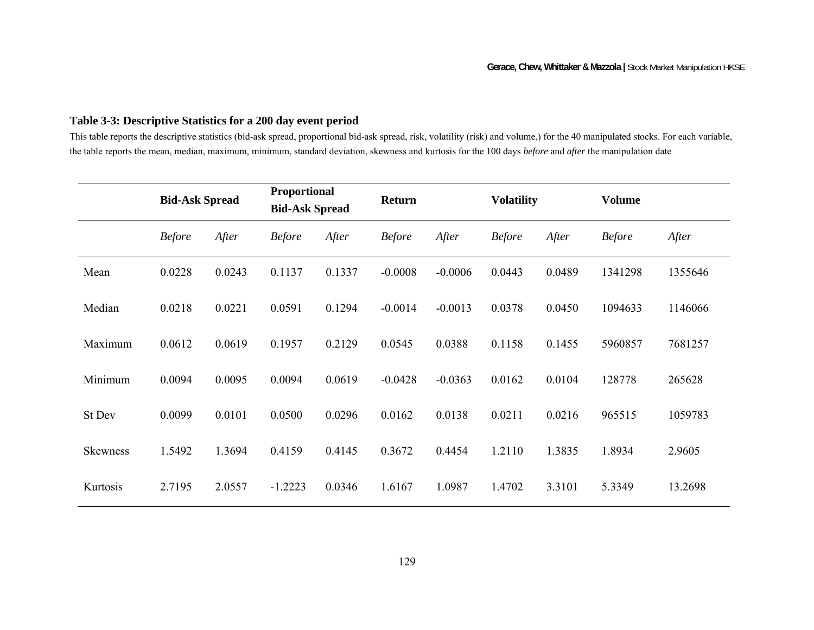# **Table 3-3: Descriptive Statistics for a 200 day event period**

This table reports the descriptive statistics (bid-ask spread, proportional bid-ask spread, risk, volatility (risk) and volume,) for the 40 manipulated stocks. For each variable, the table reports the mean, median, maximum, minimum, standard deviation, skewness and kurtosis for the 100 days *before* and *after* the manipulation date

|                 | <b>Bid-Ask Spread</b> |        | Proportional<br><b>Bid-Ask Spread</b> |        | <b>Return</b> |           | <b>Volatility</b> |        | <b>Volume</b> |         |
|-----------------|-----------------------|--------|---------------------------------------|--------|---------------|-----------|-------------------|--------|---------------|---------|
|                 | <b>Before</b>         | After  | <b>Before</b>                         | After  | <b>Before</b> | After     | <b>Before</b>     | After  | <b>Before</b> | After   |
| Mean            | 0.0228                | 0.0243 | 0.1137                                | 0.1337 | $-0.0008$     | $-0.0006$ | 0.0443            | 0.0489 | 1341298       | 1355646 |
| Median          | 0.0218                | 0.0221 | 0.0591                                | 0.1294 | $-0.0014$     | $-0.0013$ | 0.0378            | 0.0450 | 1094633       | 1146066 |
| Maximum         | 0.0612                | 0.0619 | 0.1957                                | 0.2129 | 0.0545        | 0.0388    | 0.1158            | 0.1455 | 5960857       | 7681257 |
| Minimum         | 0.0094                | 0.0095 | 0.0094                                | 0.0619 | $-0.0428$     | $-0.0363$ | 0.0162            | 0.0104 | 128778        | 265628  |
| St Dev          | 0.0099                | 0.0101 | 0.0500                                | 0.0296 | 0.0162        | 0.0138    | 0.0211            | 0.0216 | 965515        | 1059783 |
| <b>Skewness</b> | 1.5492                | 1.3694 | 0.4159                                | 0.4145 | 0.3672        | 0.4454    | 1.2110            | 1.3835 | 1.8934        | 2.9605  |
| Kurtosis        | 2.7195                | 2.0557 | $-1.2223$                             | 0.0346 | 1.6167        | 1.0987    | 1.4702            | 3.3101 | 5.3349        | 13.2698 |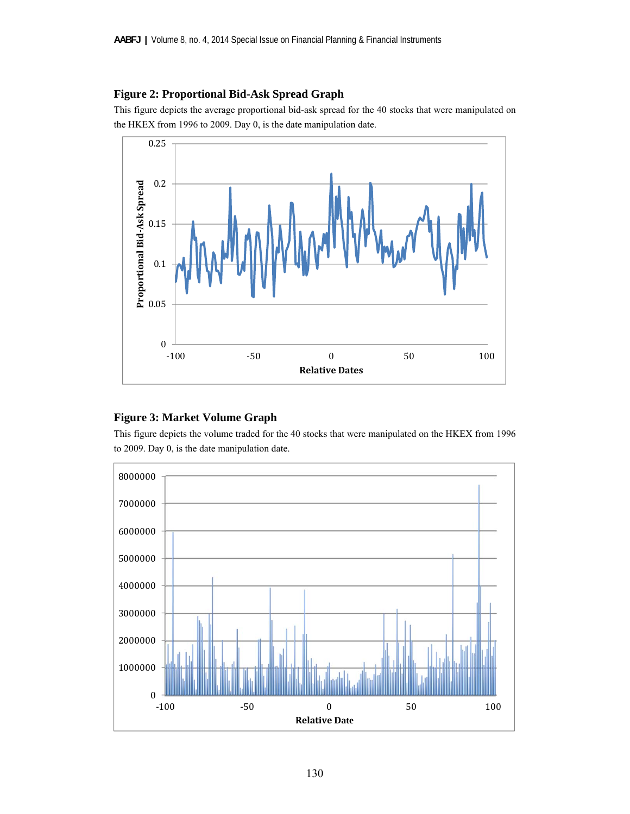# **Figure 2: Proportional Bid-Ask Spread Graph**

This figure depicts the average proportional bid-ask spread for the 40 stocks that were manipulated on the HKEX from 1996 to 2009. Day 0, is the date manipulation date.



# **Figure 3: Market Volume Graph**

This figure depicts the volume traded for the 40 stocks that were manipulated on the HKEX from 1996 to 2009. Day 0, is the date manipulation date.

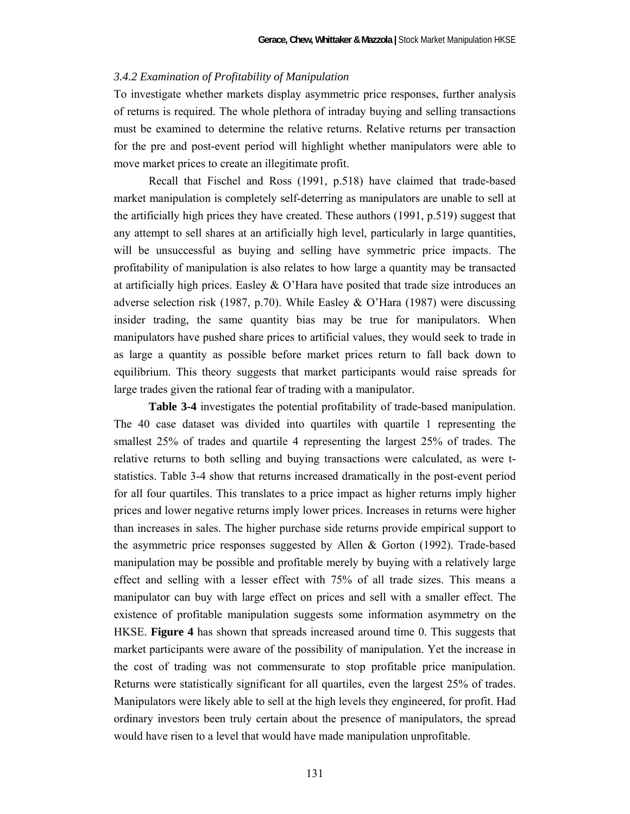#### *3.4.2 Examination of Profitability of Manipulation*

To investigate whether markets display asymmetric price responses, further analysis of returns is required. The whole plethora of intraday buying and selling transactions must be examined to determine the relative returns. Relative returns per transaction for the pre and post-event period will highlight whether manipulators were able to move market prices to create an illegitimate profit.

 Recall that Fischel and Ross (1991, p.518) have claimed that trade-based market manipulation is completely self-deterring as manipulators are unable to sell at the artificially high prices they have created. These authors (1991, p.519) suggest that any attempt to sell shares at an artificially high level, particularly in large quantities, will be unsuccessful as buying and selling have symmetric price impacts. The profitability of manipulation is also relates to how large a quantity may be transacted at artificially high prices. Easley  $\&$  O'Hara have posited that trade size introduces an adverse selection risk (1987, p.70). While Easley & O'Hara (1987) were discussing insider trading, the same quantity bias may be true for manipulators. When manipulators have pushed share prices to artificial values, they would seek to trade in as large a quantity as possible before market prices return to fall back down to equilibrium. This theory suggests that market participants would raise spreads for large trades given the rational fear of trading with a manipulator.

**Table 3-4** investigates the potential profitability of trade-based manipulation. The 40 case dataset was divided into quartiles with quartile 1 representing the smallest 25% of trades and quartile 4 representing the largest 25% of trades. The relative returns to both selling and buying transactions were calculated, as were tstatistics. Table 3-4 show that returns increased dramatically in the post-event period for all four quartiles. This translates to a price impact as higher returns imply higher prices and lower negative returns imply lower prices. Increases in returns were higher than increases in sales. The higher purchase side returns provide empirical support to the asymmetric price responses suggested by Allen  $\&$  Gorton (1992). Trade-based manipulation may be possible and profitable merely by buying with a relatively large effect and selling with a lesser effect with 75% of all trade sizes. This means a manipulator can buy with large effect on prices and sell with a smaller effect. The existence of profitable manipulation suggests some information asymmetry on the HKSE. **Figure 4** has shown that spreads increased around time 0. This suggests that market participants were aware of the possibility of manipulation. Yet the increase in the cost of trading was not commensurate to stop profitable price manipulation. Returns were statistically significant for all quartiles, even the largest 25% of trades. Manipulators were likely able to sell at the high levels they engineered, for profit. Had ordinary investors been truly certain about the presence of manipulators, the spread would have risen to a level that would have made manipulation unprofitable.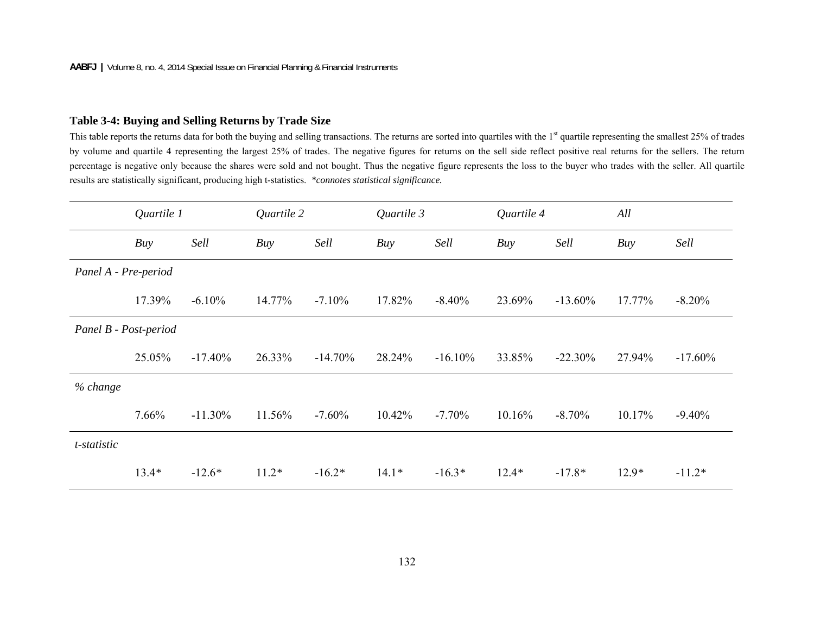# **Table 3-4: Buying and Selling Returns by Trade Size**

This table reports the returns data for both the buying and selling transactions. The returns are sorted into quartiles with the 1<sup>st</sup> quartile representing the smallest 25% of trades by volume and quartile 4 representing the largest 25% of trades. The negative figures for returns on the sell side reflect positive real returns for the sellers. The return percentage is negative only because the shares were sold and not bought. Thus the negative figure represents the loss to the buyer who trades with the seller. All quartile results are statistically significant, producing high t-statistics. *\*connotes statistical significance.*

|                       | Quartile 1 |            | Quartile 2 |           | Quartile 3 |            | Quartile 4 |            |         |            |
|-----------------------|------------|------------|------------|-----------|------------|------------|------------|------------|---------|------------|
|                       | Buy        | Sell       | Buy        | Sell      | Buy        | Sell       | Buy        | Sell       | Buy     | Sell       |
| Panel A - Pre-period  |            |            |            |           |            |            |            |            |         |            |
|                       | 17.39%     | $-6.10%$   | 14.77%     | $-7.10\%$ | 17.82%     | $-8.40%$   | 23.69%     | $-13.60\%$ | 17.77%  | $-8.20%$   |
| Panel B - Post-period |            |            |            |           |            |            |            |            |         |            |
|                       | 25.05%     | $-17.40\%$ | 26.33%     | $-14.70%$ | 28.24%     | $-16.10\%$ | 33.85%     | $-22.30%$  | 27.94%  | $-17.60\%$ |
| % change              |            |            |            |           |            |            |            |            |         |            |
|                       | 7.66%      | $-11.30\%$ | 11.56%     | $-7.60%$  | 10.42%     | $-7.70%$   | 10.16%     | $-8.70%$   | 10.17%  | $-9.40%$   |
| t-statistic           |            |            |            |           |            |            |            |            |         |            |
|                       | $13.4*$    | $-12.6*$   | $11.2*$    | $-16.2*$  | $14.1*$    | $-16.3*$   | $12.4*$    | $-17.8*$   | $12.9*$ | $-11.2*$   |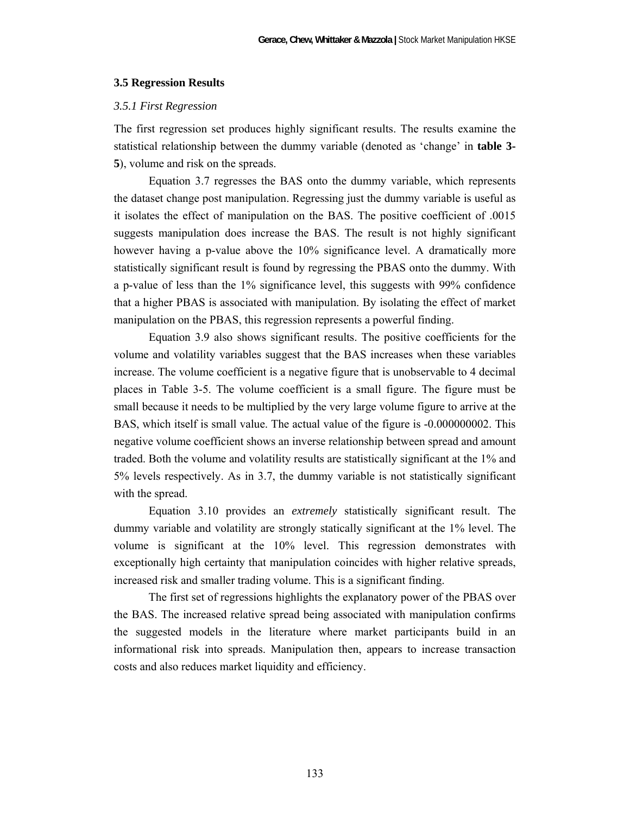#### **3.5 Regression Results**

#### *3.5.1 First Regression*

The first regression set produces highly significant results. The results examine the statistical relationship between the dummy variable (denoted as 'change' in **table 3- 5**), volume and risk on the spreads.

 Equation 3.7 regresses the BAS onto the dummy variable, which represents the dataset change post manipulation. Regressing just the dummy variable is useful as it isolates the effect of manipulation on the BAS. The positive coefficient of .0015 suggests manipulation does increase the BAS. The result is not highly significant however having a p-value above the 10% significance level. A dramatically more statistically significant result is found by regressing the PBAS onto the dummy. With a p-value of less than the 1% significance level, this suggests with 99% confidence that a higher PBAS is associated with manipulation. By isolating the effect of market manipulation on the PBAS, this regression represents a powerful finding.

 Equation 3.9 also shows significant results. The positive coefficients for the volume and volatility variables suggest that the BAS increases when these variables increase. The volume coefficient is a negative figure that is unobservable to 4 decimal places in Table 3-5. The volume coefficient is a small figure. The figure must be small because it needs to be multiplied by the very large volume figure to arrive at the BAS, which itself is small value. The actual value of the figure is -0.000000002. This negative volume coefficient shows an inverse relationship between spread and amount traded. Both the volume and volatility results are statistically significant at the 1% and 5% levels respectively. As in 3.7, the dummy variable is not statistically significant with the spread.

 Equation 3.10 provides an *extremely* statistically significant result. The dummy variable and volatility are strongly statically significant at the 1% level. The volume is significant at the 10% level. This regression demonstrates with exceptionally high certainty that manipulation coincides with higher relative spreads, increased risk and smaller trading volume. This is a significant finding.

 The first set of regressions highlights the explanatory power of the PBAS over the BAS. The increased relative spread being associated with manipulation confirms the suggested models in the literature where market participants build in an informational risk into spreads. Manipulation then, appears to increase transaction costs and also reduces market liquidity and efficiency.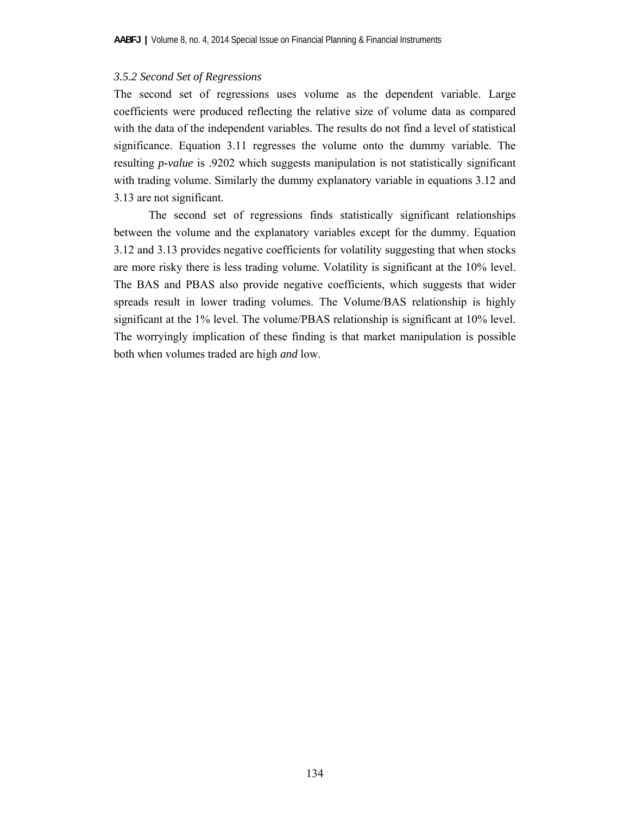# *3.5.2 Second Set of Regressions*

The second set of regressions uses volume as the dependent variable. Large coefficients were produced reflecting the relative size of volume data as compared with the data of the independent variables. The results do not find a level of statistical significance. Equation 3.11 regresses the volume onto the dummy variable. The resulting *p-value* is .9202 which suggests manipulation is not statistically significant with trading volume. Similarly the dummy explanatory variable in equations 3.12 and 3.13 are not significant.

 The second set of regressions finds statistically significant relationships between the volume and the explanatory variables except for the dummy. Equation 3.12 and 3.13 provides negative coefficients for volatility suggesting that when stocks are more risky there is less trading volume. Volatility is significant at the 10% level. The BAS and PBAS also provide negative coefficients, which suggests that wider spreads result in lower trading volumes. The Volume/BAS relationship is highly significant at the 1% level. The volume/PBAS relationship is significant at 10% level. The worryingly implication of these finding is that market manipulation is possible both when volumes traded are high *and* low.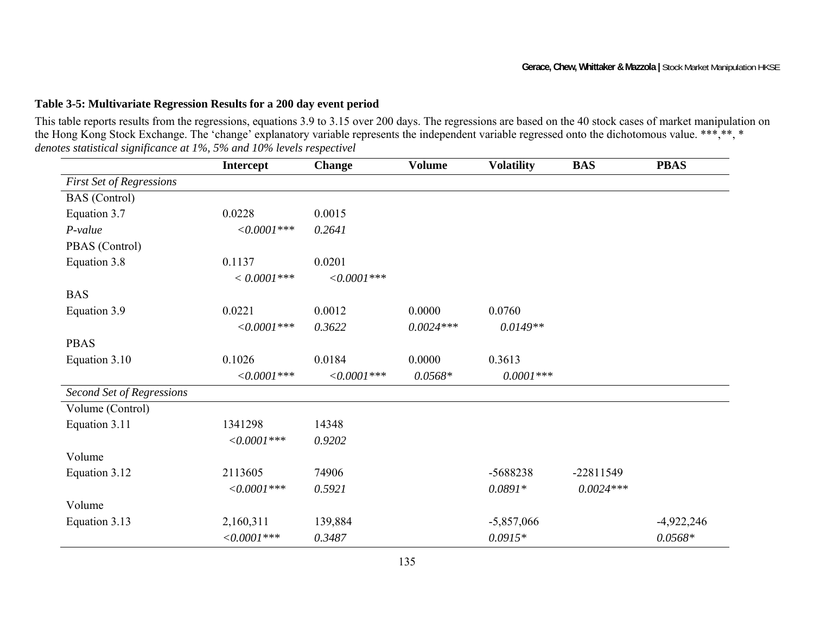# **Table 3-5: Multivariate Regression Results for a 200 day event period**

This table reports results from the regressions, equations 3.9 to 3.15 over 200 days. The regressions are based on the 40 stock cases of market manipulation on the Hong Kong Stock Exchange. The 'change' explanatory variable represents the independent variable regressed onto the dichotomous value. \*\*\*, \*\*, \* *denotes statistical significance at 1%, 5% and 10% levels respectivel* 

|                                 | <b>Intercept</b> | <b>Change</b> | <b>Volume</b> | <b>Volatility</b> | <b>BAS</b>  | <b>PBAS</b>  |
|---------------------------------|------------------|---------------|---------------|-------------------|-------------|--------------|
| <b>First Set of Regressions</b> |                  |               |               |                   |             |              |
| <b>BAS</b> (Control)            |                  |               |               |                   |             |              |
| Equation 3.7                    | 0.0228           | 0.0015        |               |                   |             |              |
| $P-value$                       | $<0.0001***$     | 0.2641        |               |                   |             |              |
| PBAS (Control)                  |                  |               |               |                   |             |              |
| Equation 3.8                    | 0.1137           | 0.0201        |               |                   |             |              |
|                                 | $< 0.0001$ ***   | $<0.0001***$  |               |                   |             |              |
| <b>BAS</b>                      |                  |               |               |                   |             |              |
| Equation 3.9                    | 0.0221           | 0.0012        | 0.0000        | 0.0760            |             |              |
|                                 | $<0.0001***$     | 0.3622        | $0.0024***$   | $0.0149**$        |             |              |
| <b>PBAS</b>                     |                  |               |               |                   |             |              |
| Equation 3.10                   | 0.1026           | 0.0184        | 0.0000        | 0.3613            |             |              |
|                                 | $<0.0001***$     | $<0.0001***$  | $0.0568*$     | $0.0001***$       |             |              |
| Second Set of Regressions       |                  |               |               |                   |             |              |
| Volume (Control)                |                  |               |               |                   |             |              |
| Equation 3.11                   | 1341298          | 14348         |               |                   |             |              |
|                                 | $<0.0001***$     | 0.9202        |               |                   |             |              |
| Volume                          |                  |               |               |                   |             |              |
| Equation 3.12                   | 2113605          | 74906         |               | -5688238          | $-22811549$ |              |
|                                 | $<0.0001***$     | 0.5921        |               | $0.0891*$         | $0.0024***$ |              |
| Volume                          |                  |               |               |                   |             |              |
| Equation 3.13                   | 2,160,311        | 139,884       |               | $-5,857,066$      |             | $-4,922,246$ |
|                                 | $<0.0001***$     | 0.3487        |               | $0.0915*$         |             | $0.0568*$    |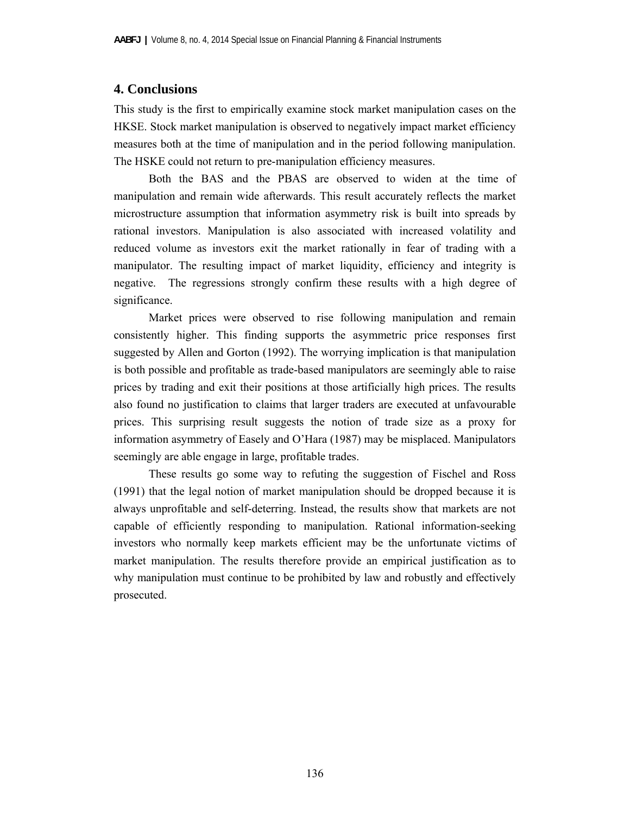# **4. Conclusions**

This study is the first to empirically examine stock market manipulation cases on the HKSE. Stock market manipulation is observed to negatively impact market efficiency measures both at the time of manipulation and in the period following manipulation. The HSKE could not return to pre-manipulation efficiency measures.

 Both the BAS and the PBAS are observed to widen at the time of manipulation and remain wide afterwards. This result accurately reflects the market microstructure assumption that information asymmetry risk is built into spreads by rational investors. Manipulation is also associated with increased volatility and reduced volume as investors exit the market rationally in fear of trading with a manipulator. The resulting impact of market liquidity, efficiency and integrity is negative. The regressions strongly confirm these results with a high degree of significance.

 Market prices were observed to rise following manipulation and remain consistently higher. This finding supports the asymmetric price responses first suggested by Allen and Gorton (1992). The worrying implication is that manipulation is both possible and profitable as trade-based manipulators are seemingly able to raise prices by trading and exit their positions at those artificially high prices. The results also found no justification to claims that larger traders are executed at unfavourable prices. This surprising result suggests the notion of trade size as a proxy for information asymmetry of Easely and O'Hara (1987) may be misplaced. Manipulators seemingly are able engage in large, profitable trades.

 These results go some way to refuting the suggestion of Fischel and Ross (1991) that the legal notion of market manipulation should be dropped because it is always unprofitable and self-deterring. Instead, the results show that markets are not capable of efficiently responding to manipulation. Rational information-seeking investors who normally keep markets efficient may be the unfortunate victims of market manipulation. The results therefore provide an empirical justification as to why manipulation must continue to be prohibited by law and robustly and effectively prosecuted.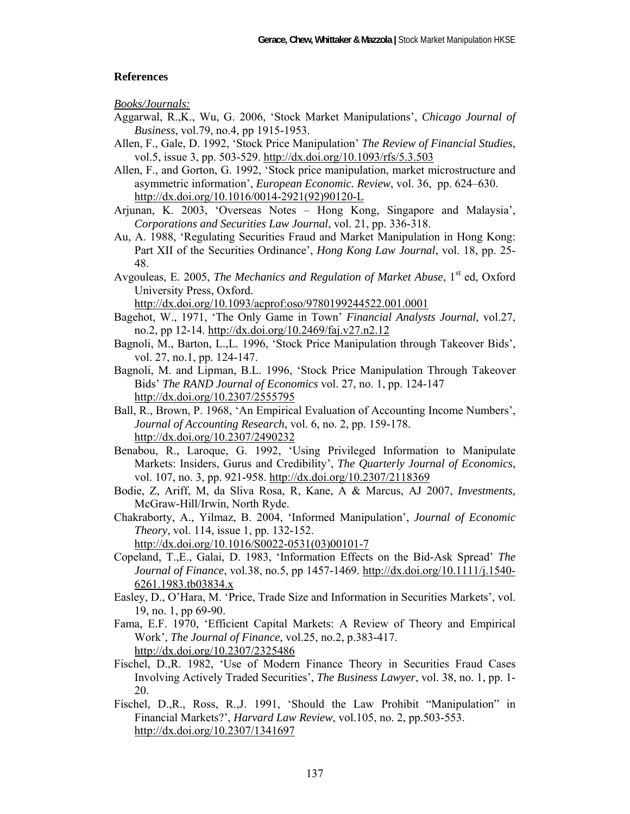# **References**

*Books/Journals:* 

- Aggarwal, R.,K., Wu, G. 2006, 'Stock Market Manipulations', *Chicago Journal of Business*, vol.79, no.4, pp 1915-1953.
- Allen, F., Gale, D. 1992, 'Stock Price Manipulation' *The Review of Financial Studies*, vol.5, issue 3, pp. 503-529. http://dx.doi.org/10.1093/rfs/5.3.503
- Allen, F., and Gorton, G. 1992, 'Stock price manipulation, market microstructure and asymmetric information', *European Economic. Review*, vol. 36, pp. 624–630. http://dx.doi.org/10.1016/0014-2921(92)90120-L
- Arjunan, K. 2003, 'Overseas Notes Hong Kong, Singapore and Malaysia', *Corporations and Securities Law Journal*, vol. 21, pp. 336-318.
- Au, A. 1988, 'Regulating Securities Fraud and Market Manipulation in Hong Kong: Part XII of the Securities Ordinance', *Hong Kong Law Journal*, vol. 18, pp. 25- 48.
- Avgouleas, E. 2005, *The Mechanics and Regulation of Market Abuse*, 1<sup>st</sup> ed. Oxford University Press, Oxford.

http://dx.doi.org/10.1093/acprof:oso/9780199244522.001.0001

- Bagehot, W., 1971, 'The Only Game in Town' *Financial Analysts Journal*, vol.27, no.2, pp 12-14. http://dx.doi.org/10.2469/faj.v27.n2.12
- Bagnoli, M., Barton, L.,L. 1996, 'Stock Price Manipulation through Takeover Bids', vol. 27, no.1, pp. 124-147.
- Bagnoli, M. and Lipman, B.L. 1996, 'Stock Price Manipulation Through Takeover Bids' *The RAND Journal of Economics* vol. 27, no. 1, pp. 124-147 http://dx.doi.org/10.2307/2555795
- Ball, R., Brown, P. 1968, 'An Empirical Evaluation of Accounting Income Numbers', *Journal of Accounting Research*, vol. 6, no. 2, pp. 159-178. http://dx.doi.org/10.2307/2490232
- Benabou, R., Laroque, G. 1992, 'Using Privileged Information to Manipulate Markets: Insiders, Gurus and Credibility', *The Quarterly Journal of Economics*, vol. 107, no. 3, pp. 921-958. http://dx.doi.org/10.2307/2118369
- Bodie, Z, Ariff, M, da Sliva Rosa, R, Kane, A & Marcus, AJ 2007, *Investments,* McGraw-Hill/Irwin, North Ryde.
- Chakraborty, A., Yilmaz, B. 2004, 'Informed Manipulation', *Journal of Economic Theory*, vol. 114, issue 1, pp. 132-152.

http://dx.doi.org/10.1016/S0022-0531(03)00101-7

- Copeland, T.,E., Galai, D. 1983, 'Information Effects on the Bid-Ask Spread' *The Journal of Finance*, vol.38, no.5, pp 1457-1469. http://dx.doi.org/10.1111/j.1540- 6261.1983.tb03834.x
- Easley, D., O'Hara, M. 'Price, Trade Size and Information in Securities Markets', vol. 19, no. 1, pp 69-90.
- Fama, E.F. 1970, 'Efficient Capital Markets: A Review of Theory and Empirical Work', *The Journal of Finance*, vol.25, no.2, p.383-417. http://dx.doi.org/10.2307/2325486
- Fischel, D.,R. 1982, 'Use of Modern Finance Theory in Securities Fraud Cases Involving Actively Traded Securities', *The Business Lawyer*, vol. 38, no. 1, pp. 1- 20.
- Fischel, D.,R., Ross, R.,J. 1991, 'Should the Law Prohibit "Manipulation" in Financial Markets?', *Harvard Law Review*, vol.105, no. 2, pp.503-553. http://dx.doi.org/10.2307/1341697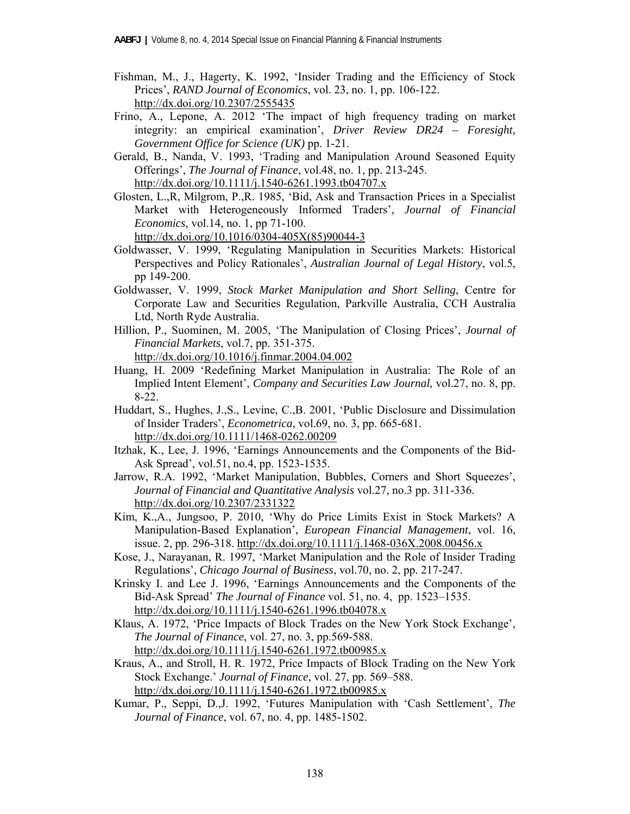- Fishman, M., J., Hagerty, K. 1992, 'Insider Trading and the Efficiency of Stock Prices', *RAND Journal of Economics*, vol. 23, no. 1, pp. 106-122. http://dx.doi.org/10.2307/2555435
- Frino, A., Lepone, A. 2012 'The impact of high frequency trading on market integrity: an empirical examination', *Driver Review DR24 – Foresight, Government Office for Science (UK)* pp. 1-21.
- Gerald, B., Nanda, V. 1993, 'Trading and Manipulation Around Seasoned Equity Offerings', *The Journal of Finance*, vol.48, no. 1, pp. 213-245. http://dx.doi.org/10.1111/j.1540-6261.1993.tb04707.x
- Glosten, L.,R, Milgrom, P.,R. 1985, 'Bid, Ask and Transaction Prices in a Specialist Market with Heterogeneously Informed Traders', *Journal of Financial Economics*, vol.14, no. 1, pp 71-100.

http://dx.doi.org/10.1016/0304-405X(85)90044-3

- Goldwasser, V. 1999, 'Regulating Manipulation in Securities Markets: Historical Perspectives and Policy Rationales', *Australian Journal of Legal History*, vol.5, pp 149-200.
- Goldwasser, V. 1999, *Stock Market Manipulation and Short Selling*, Centre for Corporate Law and Securities Regulation, Parkville Australia, CCH Australia Ltd, North Ryde Australia.
- Hillion, P., Suominen, M. 2005, 'The Manipulation of Closing Prices', *Journal of Financial Markets*, vol.7, pp. 351-375. http://dx.doi.org/10.1016/j.finmar.2004.04.002
- Huang, H. 2009 'Redefining Market Manipulation in Australia: The Role of an Implied Intent Element', *Company and Securities Law Journal*, vol.27, no. 8, pp. 8-22.
- Huddart, S., Hughes, J.,S., Levine, C.,B. 2001, 'Public Disclosure and Dissimulation of Insider Traders', *Econometrica*, vol.69, no. 3, pp. 665-681. http://dx.doi.org/10.1111/1468-0262.00209
- Itzhak, K., Lee, J. 1996, 'Earnings Announcements and the Components of the Bid-Ask Spread', vol.51, no.4, pp. 1523-1535.
- Jarrow, R.A. 1992, 'Market Manipulation, Bubbles, Corners and Short Squeezes', *Journal of Financial and Quantitative Analysis* vol.27, no.3 pp. 311-336. http://dx.doi.org/10.2307/2331322
- Kim, K.,A., Jungsoo, P. 2010, 'Why do Price Limits Exist in Stock Markets? A Manipulation-Based Explanation', *European Financial Management*, vol. 16, issue. 2, pp. 296-318. http://dx.doi.org/10.1111/j.1468-036X.2008.00456.x
- Kose, J., Narayanan, R. 1997, 'Market Manipulation and the Role of Insider Trading Regulations', *Chicago Journal of Business*, vol.70, no. 2, pp. 217-247.
- Krinsky I. and Lee J. 1996, 'Earnings Announcements and the Components of the Bid-Ask Spread' *The Journal of Finance* vol. 51, no. 4, pp. 1523–1535. http://dx.doi.org/10.1111/j.1540-6261.1996.tb04078.x
- Klaus, A. 1972, 'Price Impacts of Block Trades on the New York Stock Exchange', *The Journal of Finance*, vol. 27, no. 3, pp.569-588. http://dx.doi.org/10.1111/j.1540-6261.1972.tb00985.x
- Kraus, A., and Stroll, H. R. 1972, Price Impacts of Block Trading on the New York Stock Exchange.' *Journal of Finance*, vol. 27, pp. 569–588. http://dx.doi.org/10.1111/j.1540-6261.1972.tb00985.x
- Kumar, P., Seppi, D.,J. 1992, 'Futures Manipulation with 'Cash Settlement', *The Journal of Finance*, vol. 67, no. 4, pp. 1485-1502.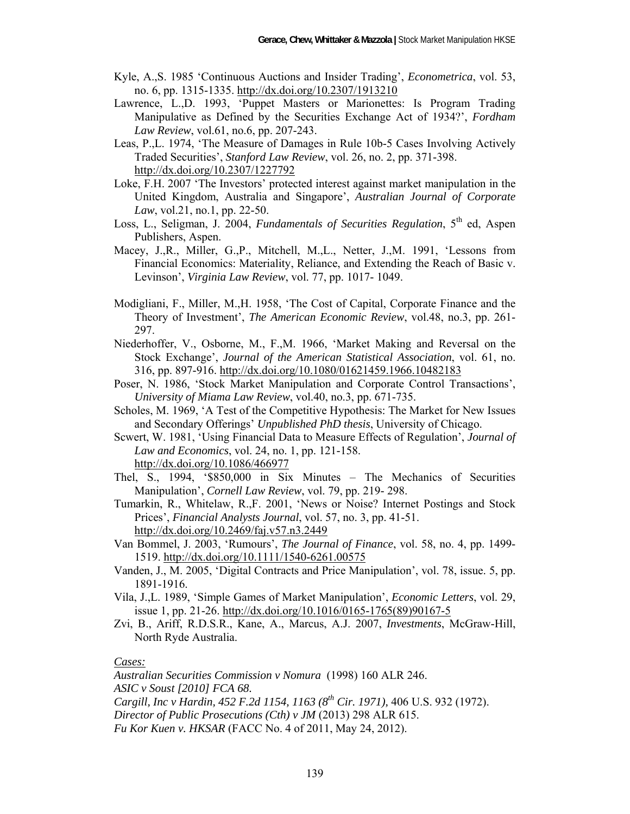- Kyle, A.,S. 1985 'Continuous Auctions and Insider Trading', *Econometrica*, vol. 53, no. 6, pp. 1315-1335. http://dx.doi.org/10.2307/1913210
- Lawrence, L.,D. 1993, 'Puppet Masters or Marionettes: Is Program Trading Manipulative as Defined by the Securities Exchange Act of 1934?', *Fordham Law Review*, vol.61, no.6, pp. 207-243.
- Leas, P.,L. 1974, 'The Measure of Damages in Rule 10b-5 Cases Involving Actively Traded Securities', *Stanford Law Review*, vol. 26, no. 2, pp. 371-398. http://dx.doi.org/10.2307/1227792
- Loke, F.H. 2007 'The Investors' protected interest against market manipulation in the United Kingdom, Australia and Singapore', *Australian Journal of Corporate Law*, vol.21, no.1, pp. 22-50.
- Loss, L., Seligman, J. 2004, *Fundamentals of Securities Regulation*, 5<sup>th</sup> ed, Aspen Publishers, Aspen.
- Macey, J.,R., Miller, G.,P., Mitchell, M.,L., Netter, J.,M. 1991, 'Lessons from Financial Economics: Materiality, Reliance, and Extending the Reach of Basic v. Levinson', *Virginia Law Review*, vol. 77, pp. 1017- 1049.
- Modigliani, F., Miller, M.,H. 1958, 'The Cost of Capital, Corporate Finance and the Theory of Investment', *The American Economic Review*, vol.48, no.3, pp. 261- 297.
- Niederhoffer, V., Osborne, M., F.,M. 1966, 'Market Making and Reversal on the Stock Exchange', *Journal of the American Statistical Association*, vol. 61, no. 316, pp. 897-916. http://dx.doi.org/10.1080/01621459.1966.10482183
- Poser, N. 1986, 'Stock Market Manipulation and Corporate Control Transactions', *University of Miama Law Review*, vol.40, no.3, pp. 671-735.
- Scholes, M. 1969, 'A Test of the Competitive Hypothesis: The Market for New Issues and Secondary Offerings' *Unpublished PhD thesis*, University of Chicago.
- Scwert, W. 1981, 'Using Financial Data to Measure Effects of Regulation', *Journal of Law and Economics*, vol. 24, no. 1, pp. 121-158. http://dx.doi.org/10.1086/466977
- Thel, S., 1994, '\$850,000 in Six Minutes The Mechanics of Securities Manipulation', *Cornell Law Review*, vol. 79, pp. 219- 298.
- Tumarkin, R., Whitelaw, R.,F. 2001, 'News or Noise? Internet Postings and Stock Prices', *Financial Analysts Journal*, vol. 57, no. 3, pp. 41-51. http://dx.doi.org/10.2469/faj.v57.n3.2449
- Van Bommel, J. 2003, 'Rumours', *The Journal of Finance*, vol. 58, no. 4, pp. 1499- 1519. http://dx.doi.org/10.1111/1540-6261.00575
- Vanden, J., M. 2005, 'Digital Contracts and Price Manipulation', vol. 78, issue. 5, pp. 1891-1916.
- Vila, J.,L. 1989, 'Simple Games of Market Manipulation', *Economic Letters*, vol. 29, issue 1, pp. 21-26. http://dx.doi.org/10.1016/0165-1765(89)90167-5
- Zvi, B., Ariff, R.D.S.R., Kane, A., Marcus, A.J. 2007, *Investments*, McGraw-Hill, North Ryde Australia.

# *Cases:*

*Australian Securities Commission v Nomura* (1998) 160 ALR 246. *ASIC v Soust [2010] FCA 68. Cargill, Inc v Hardin, 452 F.2d 1154, 1163 (8th Cir. 1971),* 406 U.S. 932 (1972). *Director of Public Prosecutions (Cth) v JM* (2013) 298 ALR 615. *Fu Kor Kuen v. HKSAR* (FACC No. 4 of 2011, May 24, 2012).